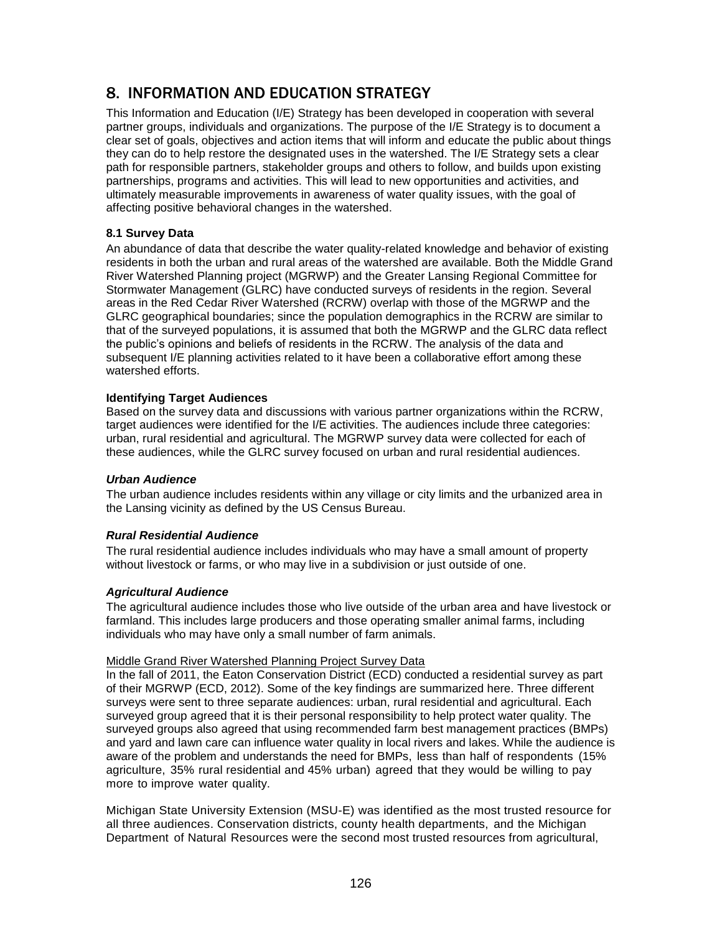# 8. INFORMATION AND EDUCATION STRATEGY

This Information and Education (I/E) Strategy has been developed in cooperation with several partner groups, individuals and organizations. The purpose of the I/E Strategy is to document a clear set of goals, objectives and action items that will inform and educate the public about things they can do to help restore the designated uses in the watershed. The I/E Strategy sets a clear path for responsible partners, stakeholder groups and others to follow, and builds upon existing partnerships, programs and activities. This will lead to new opportunities and activities, and ultimately measurable improvements in awareness of water quality issues, with the goal of affecting positive behavioral changes in the watershed.

## **8.1 Survey Data**

An abundance of data that describe the water quality-related knowledge and behavior of existing residents in both the urban and rural areas of the watershed are available. Both the Middle Grand River Watershed Planning project (MGRWP) and the Greater Lansing Regional Committee for Stormwater Management (GLRC) have conducted surveys of residents in the region. Several areas in the Red Cedar River Watershed (RCRW) overlap with those of the MGRWP and the GLRC geographical boundaries; since the population demographics in the RCRW are similar to that of the surveyed populations, it is assumed that both the MGRWP and the GLRC data reflect the public's opinions and beliefs of residents in the RCRW. The analysis of the data and subsequent I/E planning activities related to it have been a collaborative effort among these watershed efforts.

## **Identifying Target Audiences**

Based on the survey data and discussions with various partner organizations within the RCRW, target audiences were identified for the I/E activities. The audiences include three categories: urban, rural residential and agricultural. The MGRWP survey data were collected for each of these audiences, while the GLRC survey focused on urban and rural residential audiences.

## *Urban Audience*

The urban audience includes residents within any village or city limits and the urbanized area in the Lansing vicinity as defined by the US Census Bureau.

## *Rural Residential Audience*

The rural residential audience includes individuals who may have a small amount of property without livestock or farms, or who may live in a subdivision or just outside of one.

## *Agricultural Audience*

The agricultural audience includes those who live outside of the urban area and have livestock or farmland. This includes large producers and those operating smaller animal farms, including individuals who may have only a small number of farm animals.

## Middle Grand River Watershed Planning Project Survey Data

In the fall of 2011, the Eaton Conservation District (ECD) conducted a residential survey as part of their MGRWP (ECD, 2012). Some of the key findings are summarized here. Three different surveys were sent to three separate audiences: urban, rural residential and agricultural. Each surveyed group agreed that it is their personal responsibility to help protect water quality. The surveyed groups also agreed that using recommended farm best management practices (BMPs) and yard and lawn care can influence water quality in local rivers and lakes. While the audience is aware of the problem and understands the need for BMPs, less than half of respondents (15% agriculture, 35% rural residential and 45% urban) agreed that they would be willing to pay more to improve water quality.

Michigan State University Extension (MSU-E) was identified as the most trusted resource for all three audiences. Conservation districts, county health departments, and the Michigan Department of Natural Resources were the second most trusted resources from agricultural,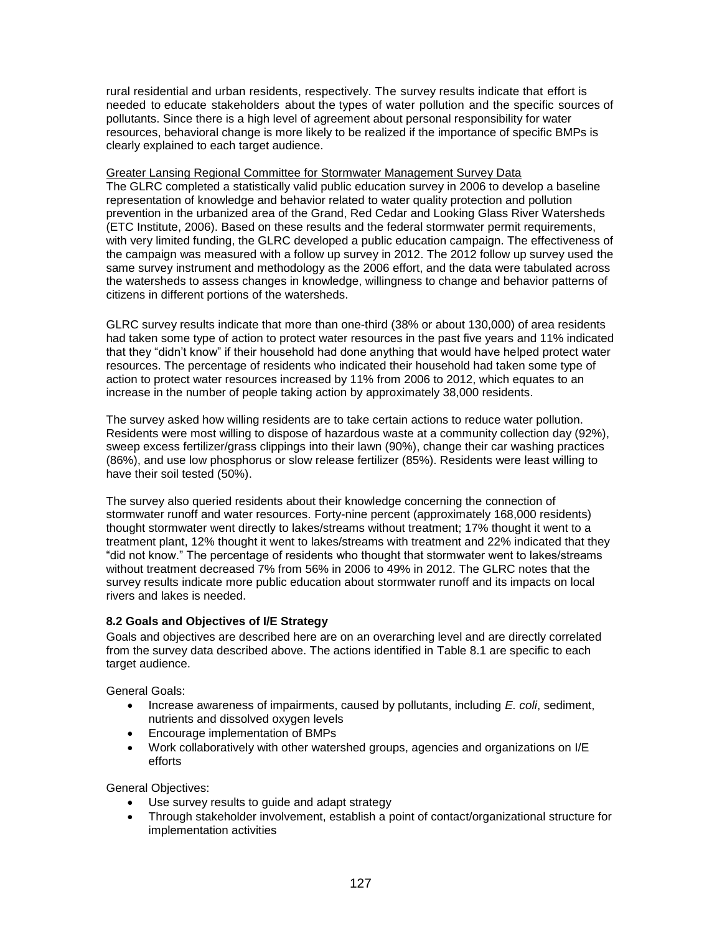rural residential and urban residents, respectively. The survey results indicate that effort is needed to educate stakeholders about the types of water pollution and the specific sources of pollutants. Since there is a high level of agreement about personal responsibility for water resources, behavioral change is more likely to be realized if the importance of specific BMPs is clearly explained to each target audience.

Greater Lansing Regional Committee for Stormwater Management Survey Data The GLRC completed a statistically valid public education survey in 2006 to develop a baseline representation of knowledge and behavior related to water quality protection and pollution prevention in the urbanized area of the Grand, Red Cedar and Looking Glass River Watersheds (ETC Institute, 2006). Based on these results and the federal stormwater permit requirements, with very limited funding, the GLRC developed a public education campaign. The effectiveness of the campaign was measured with a follow up survey in 2012. The 2012 follow up survey used the same survey instrument and methodology as the 2006 effort, and the data were tabulated across the watersheds to assess changes in knowledge, willingness to change and behavior patterns of citizens in different portions of the watersheds.

GLRC survey results indicate that more than one-third (38% or about 130,000) of area residents had taken some type of action to protect water resources in the past five years and 11% indicated that they "didn't know" if their household had done anything that would have helped protect water resources. The percentage of residents who indicated their household had taken some type of action to protect water resources increased by 11% from 2006 to 2012, which equates to an increase in the number of people taking action by approximately 38,000 residents.

The survey asked how willing residents are to take certain actions to reduce water pollution. Residents were most willing to dispose of hazardous waste at a community collection day (92%), sweep excess fertilizer/grass clippings into their lawn (90%), change their car washing practices (86%), and use low phosphorus or slow release fertilizer (85%). Residents were least willing to have their soil tested (50%).

The survey also queried residents about their knowledge concerning the connection of stormwater runoff and water resources. Forty-nine percent (approximately 168,000 residents) thought stormwater went directly to lakes/streams without treatment; 17% thought it went to a treatment plant, 12% thought it went to lakes/streams with treatment and 22% indicated that they "did not know." The percentage of residents who thought that stormwater went to lakes/streams without treatment decreased 7% from 56% in 2006 to 49% in 2012. The GLRC notes that the survey results indicate more public education about stormwater runoff and its impacts on local rivers and lakes is needed.

## **8.2 Goals and Objectives of I/E Strategy**

Goals and objectives are described here are on an overarching level and are directly correlated from the survey data described above. The actions identified in Table 8.1 are specific to each target audience.

General Goals:

- Increase awareness of impairments, caused by pollutants, including *E. coli*, sediment, nutrients and dissolved oxygen levels
- Encourage implementation of BMPs
- Work collaboratively with other watershed groups, agencies and organizations on I/E efforts

General Objectives:

- Use survey results to guide and adapt strategy
- Through stakeholder involvement, establish a point of contact/organizational structure for implementation activities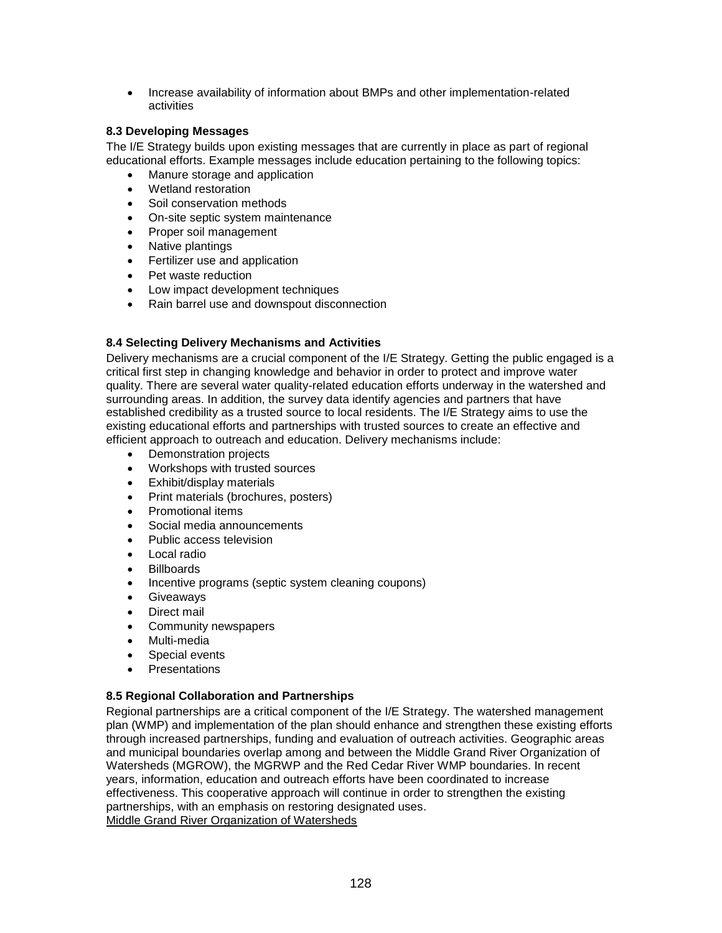Increase availability of information about BMPs and other implementation-related activities

## **8.3 Developing Messages**

The I/E Strategy builds upon existing messages that are currently in place as part of regional educational efforts. Example messages include education pertaining to the following topics:

- Manure storage and application
- Wetland restoration
- Soil conservation methods
- On-site septic system maintenance
- Proper soil management
- Native plantings
- Fertilizer use and application
- Pet waste reduction
- Low impact development techniques
- Rain barrel use and downspout disconnection

## **8.4 Selecting Delivery Mechanisms and Activities**

Delivery mechanisms are a crucial component of the I/E Strategy. Getting the public engaged is a critical first step in changing knowledge and behavior in order to protect and improve water quality. There are several water quality-related education efforts underway in the watershed and surrounding areas. In addition, the survey data identify agencies and partners that have established credibility as a trusted source to local residents. The I/E Strategy aims to use the existing educational efforts and partnerships with trusted sources to create an effective and efficient approach to outreach and education. Delivery mechanisms include:

- Demonstration projects
- Workshops with trusted sources
- Exhibit/display materials
- Print materials (brochures, posters)
- Promotional items
- Social media announcements
- Public access television
- Local radio
- Billboards
- Incentive programs (septic system cleaning coupons)
- Giveaways
- Direct mail
- Community newspapers
- Multi-media
- Special events
- **Presentations**

### <span id="page-2-0"></span>**8.5 Regional Collaboration and Partnerships**

Regional partnerships are a critical component of the I/E Strategy. The watershed management plan (WMP) and implementation of the plan should enhance and strengthen these existing efforts through increased partnerships, funding and evaluation of outreach activities. Geographic areas and municipal boundaries overlap among and between the Middle Grand River Organization of Watersheds (MGROW), the MGRWP and the Red Cedar River WMP boundaries. In recent years, information, education and outreach efforts have been coordinated to increase effectiveness. This cooperative approach will continue in order to strengthen the existing partnerships, with an emphasis on restoring designated uses. Middle Grand River Organization of Watersheds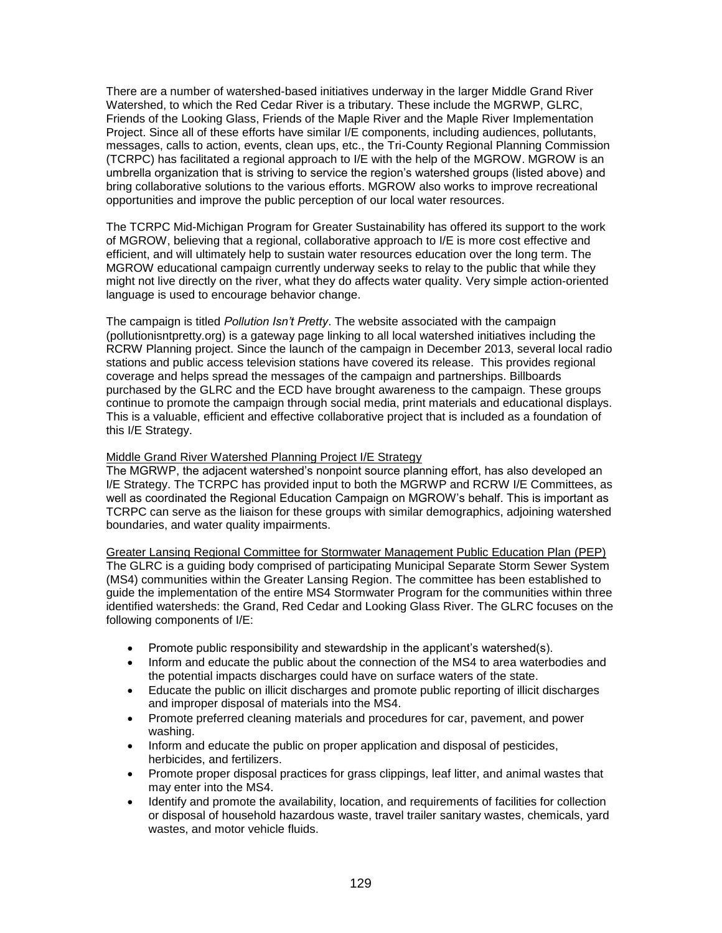There are a number of watershed-based initiatives underway in the larger Middle Grand River Watershed, to which the Red Cedar River is a tributary. These include the MGRWP, GLRC, Friends of the Looking Glass, Friends of the Maple River and the Maple River Implementation Project. Since all of these efforts have similar I/E components, including audiences, pollutants, messages, calls to action, events, clean ups, etc., the Tri-County Regional Planning Commission (TCRPC) has facilitated a regional approach to I/E with the help of the MGROW. MGROW is an umbrella organization that is striving to service the region's watershed groups (listed above) and bring collaborative solutions to the various efforts. MGROW also works to improve recreational opportunities and improve the public perception of our local water resources.

The TCRPC Mid-Michigan Program for Greater Sustainability has offered its support to the work of MGROW, believing that a regional, collaborative approach to I/E is more cost effective and efficient, and will ultimately help to sustain water resources education over the long term. The MGROW educational campaign currently underway seeks to relay to the public that while they might not live directly on the river, what they do affects water quality. Very simple action-oriented language is used to encourage behavior change.

The campaign is titled *Pollution Isn't Pretty*. The website associated with the campaign (pollutionisntpretty.org) is a gateway page linking to all local watershed initiatives including the RCRW Planning project. Since the launch of the campaign in December 2013, several local radio stations and public access television stations have covered its release. This provides regional coverage and helps spread the messages of the campaign and partnerships. Billboards purchased by the GLRC and the ECD have brought awareness to the campaign. These groups continue to promote the campaign through social media, print materials and educational displays. This is a valuable, efficient and effective collaborative project that is included as a foundation of this I/E Strategy.

### Middle Grand River Watershed Planning Project I/E Strategy

The MGRWP, the adjacent watershed's nonpoint source planning effort, has also developed an I/E Strategy. The TCRPC has provided input to both the MGRWP and RCRW I/E Committees, as well as coordinated the Regional Education Campaign on MGROW's behalf. This is important as TCRPC can serve as the liaison for these groups with similar demographics, adjoining watershed boundaries, and water quality impairments.

Greater Lansing Regional Committee for Stormwater Management Public Education Plan (PEP) The GLRC is a guiding body comprised of participating Municipal Separate Storm Sewer System (MS4) communities within the Greater Lansing Region. The committee has been established to guide the implementation of the entire MS4 Stormwater Program for the communities within three identified watersheds: the Grand, Red Cedar and Looking Glass River. The GLRC focuses on the following components of I/E:

- Promote public responsibility and stewardship in the applicant's watershed(s).
- Inform and educate the public about the connection of the MS4 to area waterbodies and the potential impacts discharges could have on surface waters of the state.
- Educate the public on illicit discharges and promote public reporting of illicit discharges and improper disposal of materials into the MS4.
- Promote preferred cleaning materials and procedures for car, pavement, and power washing.
- Inform and educate the public on proper application and disposal of pesticides, herbicides, and fertilizers.
- Promote proper disposal practices for grass clippings, leaf litter, and animal wastes that may enter into the MS4.
- Identify and promote the availability, location, and requirements of facilities for collection or disposal of household hazardous waste, travel trailer sanitary wastes, chemicals, yard wastes, and motor vehicle fluids.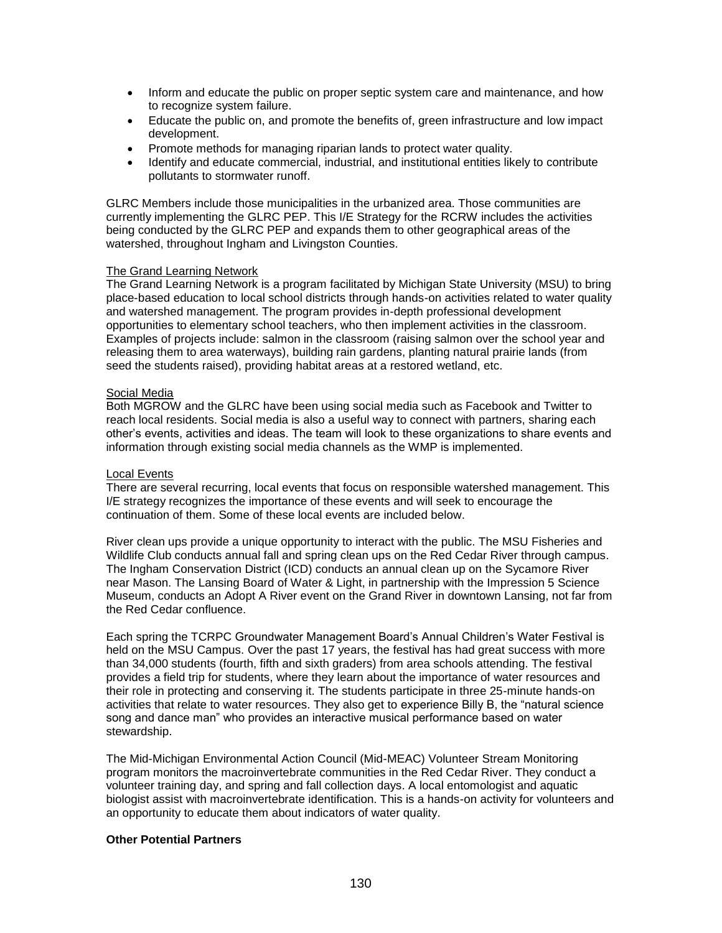- Inform and educate the public on proper septic system care and maintenance, and how to recognize system failure.
- Educate the public on, and promote the benefits of, green infrastructure and low impact development.
- Promote methods for managing riparian lands to protect water quality.
- Identify and educate commercial, industrial, and institutional entities likely to contribute pollutants to stormwater runoff.

GLRC Members include those municipalities in the urbanized area. Those communities are currently implementing the GLRC PEP. This I/E Strategy for the RCRW includes the activities being conducted by the GLRC PEP and expands them to other geographical areas of the watershed, throughout Ingham and Livingston Counties.

### The Grand Learning Network

The Grand Learning Network is a program facilitated by Michigan State University (MSU) to bring place-based education to local school districts through hands-on activities related to water quality and watershed management. The program provides in-depth professional development opportunities to elementary school teachers, who then implement activities in the classroom. Examples of projects include: salmon in the classroom (raising salmon over the school year and releasing them to area waterways), building rain gardens, planting natural prairie lands (from seed the students raised), providing habitat areas at a restored wetland, etc.

## Social Media

Both MGROW and the GLRC have been using social media such as Facebook and Twitter to reach local residents. Social media is also a useful way to connect with partners, sharing each other's events, activities and ideas. The team will look to these organizations to share events and information through existing social media channels as the WMP is implemented.

### Local Events

There are several recurring, local events that focus on responsible watershed management. This I/E strategy recognizes the importance of these events and will seek to encourage the continuation of them. Some of these local events are included below.

River clean ups provide a unique opportunity to interact with the public. The MSU Fisheries and Wildlife Club conducts annual fall and spring clean ups on the Red Cedar River through campus. The Ingham Conservation District (ICD) conducts an annual clean up on the Sycamore River near Mason. The Lansing Board of Water & Light, in partnership with the Impression 5 Science Museum, conducts an Adopt A River event on the Grand River in downtown Lansing, not far from the Red Cedar confluence.

Each spring the TCRPC Groundwater Management Board's Annual Children's Water Festival is held on the MSU Campus. Over the past 17 years, the festival has had great success with more than 34,000 students (fourth, fifth and sixth graders) from area schools attending. The festival provides a field trip for students, where they learn about the importance of water resources and their role in protecting and conserving it. The students participate in three 25-minute hands-on activities that relate to water resources. They also get to experience Billy B, the "natural science song and dance man" who provides an interactive musical performance based on water stewardship.

The Mid-Michigan Environmental Action Council (Mid-MEAC) Volunteer Stream Monitoring program monitors the macroinvertebrate communities in the Red Cedar River. They conduct a volunteer training day, and spring and fall collection days. A local entomologist and aquatic biologist assist with macroinvertebrate identification. This is a hands-on activity for volunteers and an opportunity to educate them about indicators of water quality.

## **Other Potential Partners**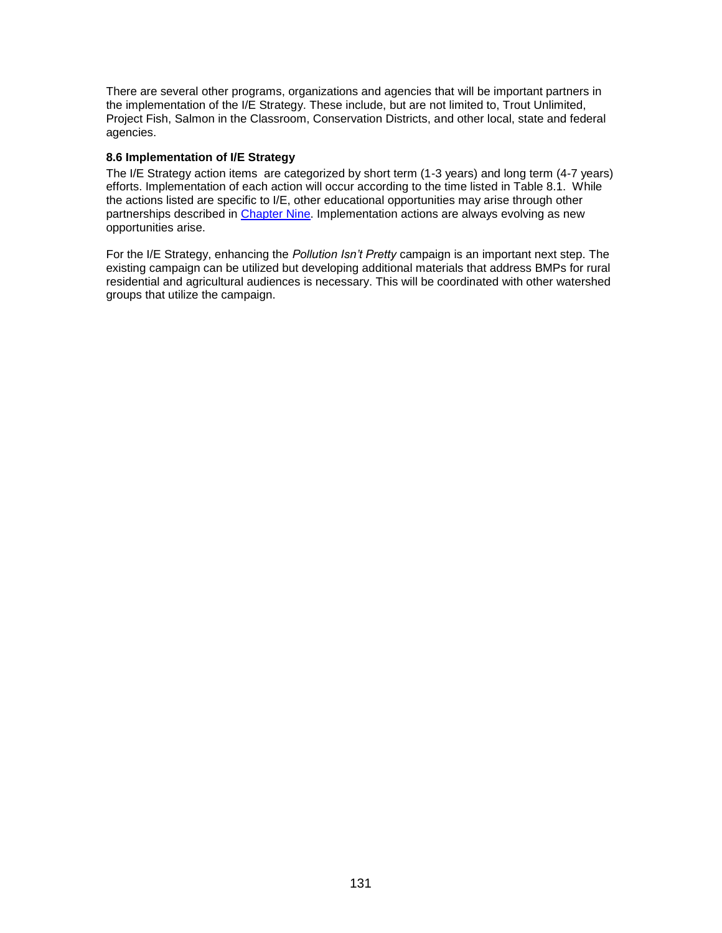There are several other programs, organizations and agencies that will be important partners in the implementation of the I/E Strategy. These include, but are not limited to, Trout Unlimited, Project Fish, Salmon in the Classroom, Conservation Districts, and other local, state and federal agencies.

## **8.6 Implementation of I/E Strategy**

The I/E Strategy action items are categorized by short term (1-3 years) and long term (4-7 years) efforts. Implementation of each action will occur according to the time listed in Table 8.1. While the actions listed are specific to I/E, other educational opportunities may arise through other partnerships described in [Chapter Nine.](#page-12-0) Implementation actions are always evolving as new opportunities arise.

For the I/E Strategy, enhancing the *Pollution Isn't Pretty* campaign is an important next step. The existing campaign can be utilized but developing additional materials that address BMPs for rural residential and agricultural audiences is necessary. This will be coordinated with other watershed groups that utilize the campaign.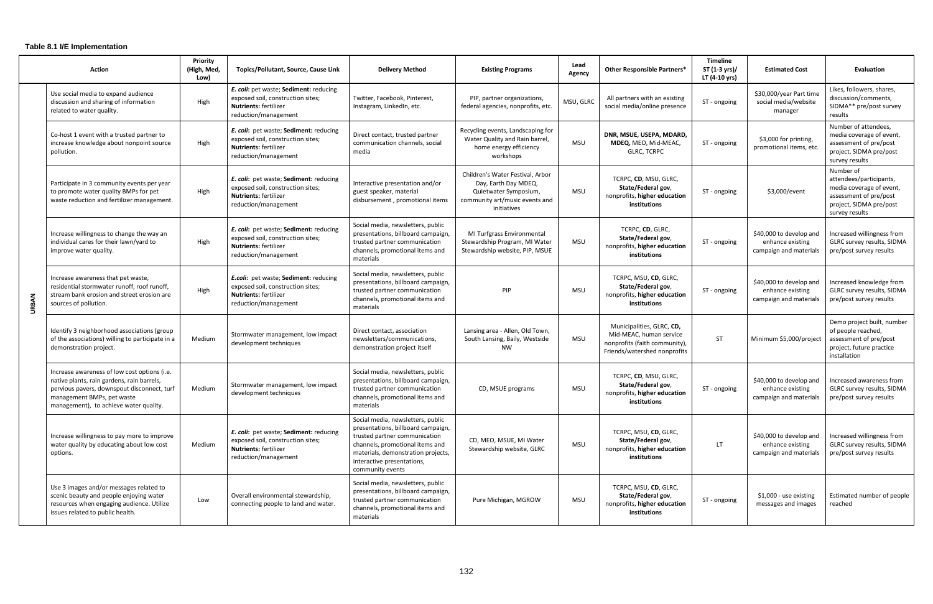| <b>Action</b> |                                                                                                                                                                                                                   | Priority<br>(High, Med,<br>Low) | Topics/Pollutant, Source, Cause Link                                                                                                | <b>Delivery Method</b>                                                                                                                                                                                                              | <b>Existing Programs</b>                                                                                                           | Lead<br>Agency | <b>Other Responsible Partners*</b>                                                                                    | <b>Timeline</b><br>ST (1-3 yrs)/<br>LT (4-10 yrs) | <b>Estimated Cost</b>                                                 | Evaluation                                                                                                                              |
|---------------|-------------------------------------------------------------------------------------------------------------------------------------------------------------------------------------------------------------------|---------------------------------|-------------------------------------------------------------------------------------------------------------------------------------|-------------------------------------------------------------------------------------------------------------------------------------------------------------------------------------------------------------------------------------|------------------------------------------------------------------------------------------------------------------------------------|----------------|-----------------------------------------------------------------------------------------------------------------------|---------------------------------------------------|-----------------------------------------------------------------------|-----------------------------------------------------------------------------------------------------------------------------------------|
| <b>URBAN</b>  | Use social media to expand audience<br>discussion and sharing of information<br>related to water quality.                                                                                                         | High                            | E. coli: pet waste; Sediment: reducing<br>exposed soil, construction sites;<br>Nutrients: fertilizer<br>reduction/management        | Twitter, Facebook, Pinterest,<br>Instagram, LinkedIn, etc.                                                                                                                                                                          | PIP, partner organizations,<br>federal agencies, nonprofits, etc.                                                                  | MSU, GLRC      | All partners with an existing<br>social media/online presence                                                         | ST - ongoing                                      | \$30,000/year Part time<br>social media/website<br>manager            | Likes, followers, shares,<br>discussion/comments,<br>SIDMA** pre/post survey<br>results                                                 |
|               | Co-host 1 event with a trusted partner to<br>increase knowledge about nonpoint source<br>pollution.                                                                                                               | High                            | E. coli: pet waste; Sediment: reducing<br>exposed soil, construction sites;<br><b>Nutrients: fertilizer</b><br>reduction/management | Direct contact, trusted partner<br>communication channels, social<br>media                                                                                                                                                          | Recycling events, Landscaping for<br>Water Quality and Rain barrel,<br>home energy efficiency<br>workshops                         | <b>MSU</b>     | DNR, MSUE, USEPA, MDARD,<br>MDEQ, MEO, Mid-MEAC,<br><b>GLRC, TCRPC</b>                                                | ST - ongoing                                      | \$3,000 for printing,<br>promotional items, etc.                      | Number of attendees,<br>media coverage of event,<br>assessment of pre/post<br>project, SIDMA pre/post<br>survey results                 |
|               | Participate in 3 community events per year<br>to promote water quality BMPs for pet<br>waste reduction and fertilizer management.                                                                                 | High                            | E. coli: pet waste; Sediment: reducing<br>exposed soil, construction sites;<br><b>Nutrients: fertilizer</b><br>reduction/management | Interactive presentation and/or<br>guest speaker, material<br>disbursement, promotional items                                                                                                                                       | Children's Water Festival, Arbor<br>Day, Earth Day MDEQ,<br>Quietwater Symposium,<br>community art/music events and<br>initiatives | <b>MSU</b>     | TCRPC, CD, MSU, GLRC,<br>State/Federal gov,<br>nonprofits, higher education<br>institutions                           | ST - ongoing                                      | \$3,000/event                                                         | Number of<br>attendees/participants,<br>media coverage of event,<br>assessment of pre/post<br>project, SIDMA pre/post<br>survey results |
|               | Increase willingness to change the way an<br>individual cares for their lawn/yard to<br>improve water quality.                                                                                                    | High                            | E. coli: pet waste; Sediment: reducing<br>exposed soil, construction sites;<br><b>Nutrients: fertilizer</b><br>reduction/management | Social media, newsletters, public<br>presentations, billboard campaign,<br>trusted partner communication<br>channels, promotional items and<br>materials                                                                            | MI Turfgrass Environmental<br>Stewardship Program, MI Water<br>Stewardship website, PIP, MSUE                                      | MSU            | TCRPC, CD, GLRC,<br>State/Federal gov,<br>nonprofits, higher education<br>institutions                                | ST - ongoing                                      | \$40,000 to develop and<br>enhance existing<br>campaign and materials | Increased willingness from<br>GLRC survey results, SIDMA<br>pre/post survey results                                                     |
|               | Increase awareness that pet waste,<br>residential stormwater runoff, roof runoff,<br>stream bank erosion and street erosion are<br>sources of pollution.                                                          | High                            | E.coli: pet waste; Sediment: reducing<br>exposed soil, construction sites;<br><b>Nutrients: fertilizer</b><br>reduction/management  | Social media, newsletters, public<br>presentations, billboard campaign,<br>trusted partner communication<br>channels, promotional items and<br>materials                                                                            | PIP                                                                                                                                | <b>MSU</b>     | TCRPC, MSU, CD, GLRC,<br>State/Federal gov,<br>nonprofits, higher education<br><b>institutions</b>                    | ST - ongoing                                      | \$40,000 to develop and<br>enhance existing<br>campaign and materials | Increased knowledge from<br>GLRC survey results, SIDMA<br>pre/post survey results                                                       |
|               | Identify 3 neighborhood associations (group<br>of the associations) willing to participate in a<br>demonstration project.                                                                                         | Medium                          | Stormwater management, low impact<br>development techniques                                                                         | Direct contact, association<br>newsletters/communications,<br>demonstration project itself                                                                                                                                          | Lansing area - Allen, Old Town,<br>South Lansing, Baily, Westside<br>NW                                                            | <b>MSU</b>     | Municipalities, GLRC, CD,<br>Mid-MEAC, human service<br>nonprofits (faith community),<br>Friends/watershed nonprofits | ST                                                | Minimum \$5,000/project                                               | Demo project built, number<br>of people reached,<br>assessment of pre/post<br>project, future practice<br>installation                  |
|               | Increase awareness of low cost options (i.e.<br>native plants, rain gardens, rain barrels,<br>pervious pavers, downspout disconnect, turf<br>management BMPs, pet waste<br>management), to achieve water quality. | Medium                          | Stormwater management, low impact<br>development techniques                                                                         | Social media, newsletters, public<br>presentations, billboard campaign,<br>trusted partner communication<br>channels, promotional items and<br>materials                                                                            | CD, MSUE programs                                                                                                                  | MSU            | TCRPC, CD, MSU, GLRC,<br>State/Federal gov,<br>nonprofits, higher education<br>institutions                           | ST - ongoing                                      | \$40,000 to develop and<br>enhance existing                           | Increased awareness from<br>GLRC survey results, SIDMA<br>campaign and materials $ $ pre/post survey results                            |
|               | Increase willingness to pay more to improve<br>water quality by educating about low cost<br>options.                                                                                                              | Medium                          | E. coli: pet waste; Sediment: reducing<br>exposed soil, construction sites;<br><b>Nutrients: fertilizer</b><br>reduction/management | Social media, newsletters, public<br>presentations, billboard campaign,<br>trusted partner communication<br>channels, promotional items and<br>materials, demonstration projects,<br>interactive presentations,<br>community events | CD, MEO, MSUE, MI Water<br>Stewardship website, GLRC                                                                               | <b>MSU</b>     | TCRPC, MSU, CD, GLRC,<br>State/Federal gov,<br>nonprofits, higher education<br>institutions                           | LT.                                               | \$40,000 to develop and<br>enhance existing<br>campaign and materials | Increased willingness from<br>GLRC survey results, SIDMA<br>pre/post survey results                                                     |
|               | Use 3 images and/or messages related to<br>scenic beauty and people enjoying water<br>resources when engaging audience. Utilize<br>issues related to public health.                                               | Low                             | Overall environmental stewardship,<br>connecting people to land and water.                                                          | Social media, newsletters, public<br>presentations, billboard campaign,<br>trusted partner communication<br>channels, promotional items and<br>materials                                                                            | Pure Michigan, MGROW                                                                                                               | MSU            | TCRPC, MSU, CD, GLRC,<br>State/Federal gov,<br>nonprofits, higher education<br>institutions                           | ST - ongoing                                      | \$1,000 - use existing<br>messages and images                         | Estimated number of people<br>reached                                                                                                   |

## **Table 8.1 I/E Implementation**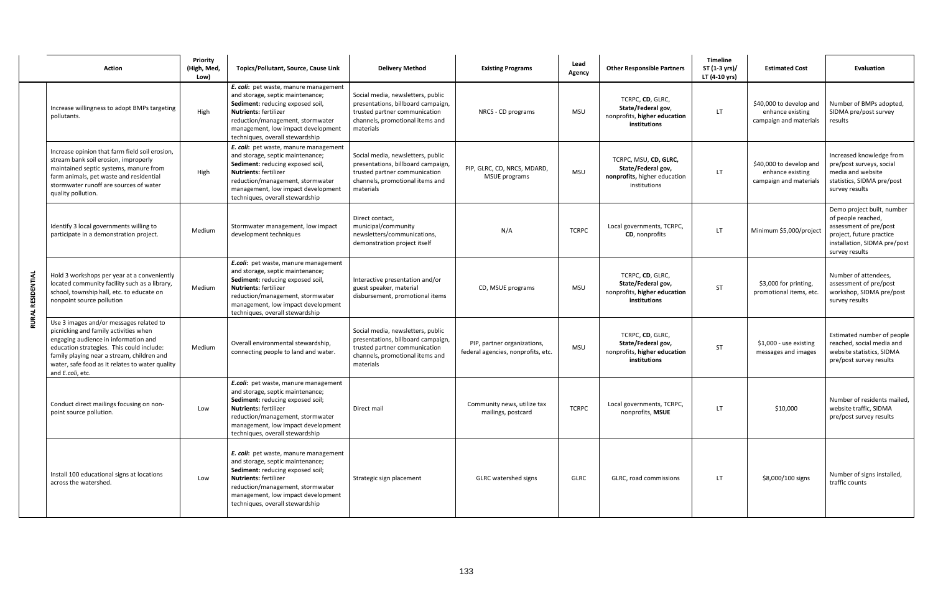|                   | <b>Action</b>                                                                                                                                                                                                                                                                              | Priority<br>(High, Med,<br>Low) | Topics/Pollutant, Source, Cause Link                                                                                                                                                                                                                       | <b>Delivery Method</b>                                                                                                                                   | <b>Existing Programs</b>                                          | Lead<br>Agency | <b>Other Responsible Partners</b>                                                           | <b>Timeline</b><br>ST (1-3 yrs)/<br>LT (4-10 yrs) | <b>Estimated Cost</b>                                                 | <b>Evaluation</b>                                                                                                                                        |
|-------------------|--------------------------------------------------------------------------------------------------------------------------------------------------------------------------------------------------------------------------------------------------------------------------------------------|---------------------------------|------------------------------------------------------------------------------------------------------------------------------------------------------------------------------------------------------------------------------------------------------------|----------------------------------------------------------------------------------------------------------------------------------------------------------|-------------------------------------------------------------------|----------------|---------------------------------------------------------------------------------------------|---------------------------------------------------|-----------------------------------------------------------------------|----------------------------------------------------------------------------------------------------------------------------------------------------------|
| RURAL RESIDENTIAL | Increase willingness to adopt BMPs targeting<br>pollutants.                                                                                                                                                                                                                                | High                            | E. coli: pet waste, manure management<br>and storage, septic maintenance;<br>Sediment: reducing exposed soil,<br><b>Nutrients: fertilizer</b><br>reduction/management, stormwater<br>management, low impact development<br>techniques, overall stewardship | Social media, newsletters, public<br>presentations, billboard campaign,<br>trusted partner communication<br>channels, promotional items and<br>materials | NRCS - CD programs                                                | <b>MSU</b>     | TCRPC, CD, GLRC,<br>State/Federal gov,<br>nonprofits, higher education<br>institutions      | LT.                                               | \$40,000 to develop and<br>enhance existing<br>campaign and materials | Number of BMPs adopted,<br>SIDMA pre/post survey<br>results                                                                                              |
|                   | Increase opinion that farm field soil erosion,<br>stream bank soil erosion, improperly<br>maintained septic systems, manure from<br>farm animals, pet waste and residential<br>stormwater runoff are sources of water<br>quality pollution.                                                | High                            | E. coli: pet waste, manure management<br>and storage, septic maintenance;<br>Sediment: reducing exposed soil,<br><b>Nutrients: fertilizer</b><br>reduction/management, stormwater<br>management, low impact development<br>techniques, overall stewardship | Social media, newsletters, public<br>presentations, billboard campaign,<br>trusted partner communication<br>channels, promotional items and<br>materials | PIP, GLRC, CD, NRCS, MDARD,<br><b>MSUE</b> programs               | <b>MSU</b>     | TCRPC, MSU, CD, GLRC,<br>State/Federal gov,<br>nonprofits, higher education<br>institutions | LT.                                               | \$40,000 to develop and<br>enhance existing<br>campaign and materials | Increased knowledge from<br>pre/post surveys, social<br>media and website<br>statistics, SIDMA pre/post<br>survey results                                |
|                   | Identify 3 local governments willing to<br>participate in a demonstration project.                                                                                                                                                                                                         | Medium                          | Stormwater management, low impact<br>development techniques                                                                                                                                                                                                | Direct contact,<br>municipal/community<br>newsletters/communications,<br>demonstration project itself                                                    | N/A                                                               | <b>TCRPC</b>   | Local governments, TCRPC,<br>CD, nonprofits                                                 | LT.                                               | Minimum \$5,000/project                                               | Demo project built, number<br>of people reached,<br>assessment of pre/post<br>project, future practice<br>installation, SIDMA pre/post<br>survey results |
|                   | Hold 3 workshops per year at a conveniently<br>located community facility such as a library,<br>school, township hall, etc. to educate on<br>nonpoint source pollution                                                                                                                     | Medium                          | E.coli: pet waste, manure management<br>and storage, septic maintenance;<br>Sediment: reducing exposed soil,<br>Nutrients: fertilizer<br>reduction/management, stormwater<br>management, low impact development<br>techniques, overall stewardship         | Interactive presentation and/or<br>guest speaker, material<br>disbursement, promotional items                                                            | CD, MSUE programs                                                 | MSU            | TCRPC, CD, GLRC,<br>State/Federal gov,<br>nonprofits, higher education<br>institutions      | <b>ST</b>                                         | \$3,000 for printing,<br>promotional items, etc.                      | Number of attendees,<br>assessment of pre/post<br>workshop, SIDMA pre/post<br>survey results                                                             |
|                   | Use 3 images and/or messages related to<br>picnicking and family activities when<br>engaging audience in information and<br>education strategies. This could include:<br>family playing near a stream, children and<br>water, safe food as it relates to water quality<br>and E.coli, etc. | Medium                          | Overall environmental stewardship,<br>connecting people to land and water.                                                                                                                                                                                 | Social media, newsletters, public<br>presentations, billboard campaign,<br>trusted partner communication<br>channels, promotional items and<br>materials | PIP, partner organizations,<br>federal agencies, nonprofits, etc. | <b>MSU</b>     | TCRPC, CD, GLRC,<br>State/Federal gov,<br>nonprofits, higher education<br>institutions      | <b>ST</b>                                         | \$1,000 - use existing<br>messages and images                         | Estimated number of people<br>reached, social media and<br>website statistics, SIDMA<br>pre/post survey results                                          |
|                   | Conduct direct mailings focusing on non-<br>point source pollution.                                                                                                                                                                                                                        | Low                             | E.coli: pet waste, manure management<br>and storage, septic maintenance;<br>Sediment: reducing exposed soil;<br><b>Nutrients: fertilizer</b><br>reduction/management, stormwater<br>management, low impact development<br>techniques, overall stewardship  | Direct mail                                                                                                                                              | Community news, utilize tax<br>mailings, postcard                 | <b>TCRPC</b>   | Local governments, TCRPC,<br>nonprofits, MSUE                                               | LT.                                               | \$10,000                                                              | Number of residents mailed,<br>website traffic, SIDMA<br>pre/post survey results                                                                         |
|                   | Install 100 educational signs at locations<br>across the watershed.                                                                                                                                                                                                                        | Low                             | E. coli: pet waste, manure management<br>and storage, septic maintenance;<br>Sediment: reducing exposed soil;<br><b>Nutrients: fertilizer</b><br>reduction/management, stormwater<br>management, low impact development<br>techniques, overall stewardship | Strategic sign placement                                                                                                                                 | GLRC watershed signs                                              | GLRC           | GLRC, road commissions                                                                      | LT.                                               | \$8,000/100 signs                                                     | Number of signs installed,<br>traffic counts                                                                                                             |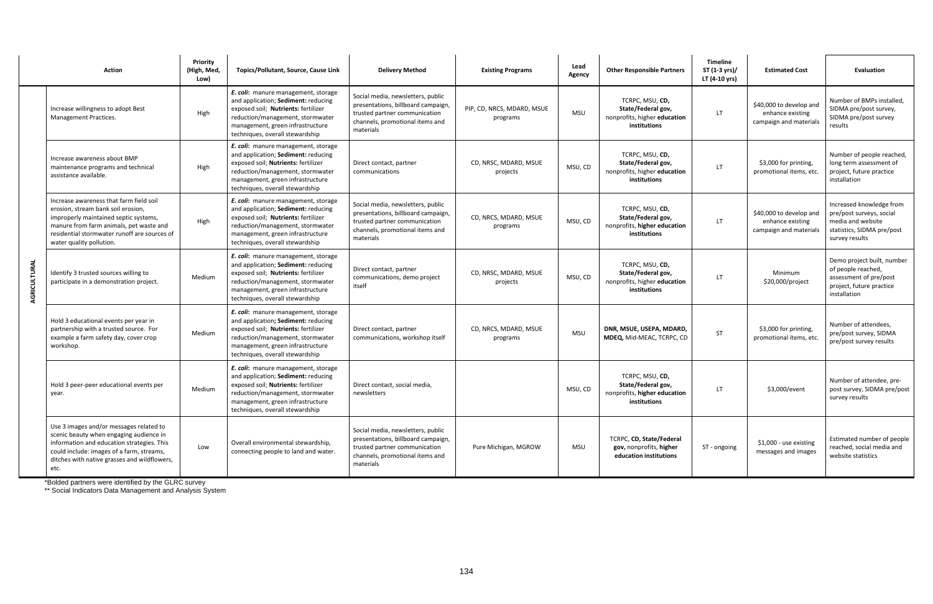\*Bolded partners were identified by the GLRC survey

\*\* Social Indicators Data Management and Analysis System

|              | <b>Action</b>                                                                                                                                                                                                                                 | <b>Priority</b><br>(High, Med,<br>Low) | Topics/Pollutant, Source, Cause Link                                                                                                                                                                                         | <b>Delivery Method</b>                                                                                                                                   | <b>Existing Programs</b>               | Lead<br>Agency | <b>Other Responsible Partners</b>                                                     | <b>Timeline</b><br>ST (1-3 yrs)/<br>LT (4-10 yrs) | <b>Estimated Cost</b>                                                 | Evaluation                                                                                                                |
|--------------|-----------------------------------------------------------------------------------------------------------------------------------------------------------------------------------------------------------------------------------------------|----------------------------------------|------------------------------------------------------------------------------------------------------------------------------------------------------------------------------------------------------------------------------|----------------------------------------------------------------------------------------------------------------------------------------------------------|----------------------------------------|----------------|---------------------------------------------------------------------------------------|---------------------------------------------------|-----------------------------------------------------------------------|---------------------------------------------------------------------------------------------------------------------------|
| AGRICULTURAL | Increase willingness to adopt Best<br>Management Practices.                                                                                                                                                                                   | High                                   | E. coli: manure management, storage<br>and application; Sediment: reducing<br>exposed soil; Nutrients: fertilizer<br>reduction/management, stormwater<br>management, green infrastructure<br>techniques, overall stewardship | Social media, newsletters, public<br>presentations, billboard campaign,<br>trusted partner communication<br>channels, promotional items and<br>materials | PIP, CD, NRCS, MDARD, MSUE<br>programs | <b>MSU</b>     | TCRPC, MSU, CD,<br>State/Federal gov,<br>nonprofits, higher education<br>institutions | LT.                                               | \$40,000 to develop and<br>enhance existing<br>campaign and materials | Number of BMPs installed,<br>SIDMA pre/post survey,<br>SIDMA pre/post survey<br>results                                   |
|              | Increase awareness about BMP<br>maintenance programs and technical<br>assistance available.                                                                                                                                                   | High                                   | E. coli: manure management, storage<br>and application; Sediment: reducing<br>exposed soil; Nutrients: fertilizer<br>reduction/management, stormwater<br>management, green infrastructure<br>techniques, overall stewardship | Direct contact, partner<br>communications                                                                                                                | CD, NRSC, MDARD, MSUE<br>projects      | MSU, CD        | TCRPC, MSU, CD,<br>State/Federal gov,<br>nonprofits, higher education<br>institutions | LT.                                               | \$3,000 for printing,<br>promotional items, etc.                      | Number of people reached,<br>long term assessment of<br>project, future practice<br>installation                          |
|              | Increase awareness that farm field soil<br>erosion, stream bank soil erosion,<br>improperly maintained septic systems,<br>manure from farm animals, pet waste and<br>residential stormwater runoff are sources of<br>water quality pollution. | High                                   | E. coli: manure management, storage<br>and application; Sediment: reducing<br>exposed soil; Nutrients: fertilizer<br>reduction/management, stormwater<br>management, green infrastructure<br>techniques, overall stewardship | Social media, newsletters, public<br>presentations, billboard campaign,<br>trusted partner communication<br>channels, promotional items and<br>materials | CD, NRCS, MDARD, MSUE<br>programs      | MSU, CD        | TCRPC, MSU, CD,<br>State/Federal gov,<br>nonprofits, higher education<br>institutions | LT.                                               | \$40,000 to develop and<br>enhance existing<br>campaign and materials | Increased knowledge from<br>pre/post surveys, social<br>media and website<br>statistics, SIDMA pre/post<br>survey results |
|              | Identify 3 trusted sources willing to<br>participate in a demonstration project.                                                                                                                                                              | Medium                                 | E. coli: manure management, storage<br>and application; Sediment: reducing<br>exposed soil; Nutrients: fertilizer<br>reduction/management, stormwater<br>management, green infrastructure<br>techniques, overall stewardship | Direct contact, partner<br>communications, demo project<br>itself                                                                                        | CD, NRSC, MDARD, MSUE<br>projects      | MSU, CD        | TCRPC, MSU, CD,<br>State/Federal gov,<br>nonprofits, higher education<br>institutions | LT.                                               | Minimum<br>\$20,000/project                                           | Demo project built, number<br>of people reached,<br>assessment of pre/post<br>project, future practice<br>installation    |
|              | Hold 3 educational events per year in<br>partnership with a trusted source. For<br>example a farm safety day, cover crop<br>workshop.                                                                                                         | Medium                                 | E. coli: manure management, storage<br>and application; Sediment: reducing<br>exposed soil; Nutrients: fertilizer<br>reduction/management, stormwater<br>management, green infrastructure<br>techniques, overall stewardship | Direct contact, partner<br>communications, workshop itself                                                                                               | CD, NRCS, MDARD, MSUE<br>programs      | <b>MSU</b>     | DNR, MSUE, USEPA, MDARD,<br>MDEQ, Mid-MEAC, TCRPC, CD                                 | ST                                                | \$3,000 for printing,<br>promotional items, etc.                      | Number of attendees,<br>pre/post survey, SIDMA<br>pre/post survey results                                                 |
|              | Hold 3 peer-peer educational events per<br>year.                                                                                                                                                                                              | Medium                                 | E. coli: manure management, storage<br>and application; Sediment: reducing<br>exposed soil; Nutrients: fertilizer<br>reduction/management, stormwater<br>management, green infrastructure<br>techniques, overall stewardship | Direct contact, social media,<br>newsletters                                                                                                             |                                        | MSU, CD        | TCRPC, MSU, CD,<br>State/Federal gov,<br>nonprofits, higher education<br>institutions | LT.                                               | \$3,000/event                                                         | Number of attendee, pre-<br>post survey, SIDMA pre/post<br>survey results                                                 |
|              | Use 3 images and/or messages related to<br>scenic beauty when engaging audience in<br>information and education strategies. This<br>could include: images of a farm, streams,<br>ditches with native grasses and wildflowers,<br>etc.         | Low                                    | Overall environmental stewardship,<br>connecting people to land and water.                                                                                                                                                   | Social media, newsletters, public<br>presentations, billboard campaign,<br>trusted partner communication<br>channels, promotional items and<br>materials | Pure Michigan, MGROW                   | <b>MSU</b>     | TCRPC, CD, State/Federal<br>gov, nonprofits, higher<br>education institutions         | ST - ongoing                                      | \$1,000 - use existing<br>messages and images                         | Estimated number of people<br>reached, social media and<br>website statistics                                             |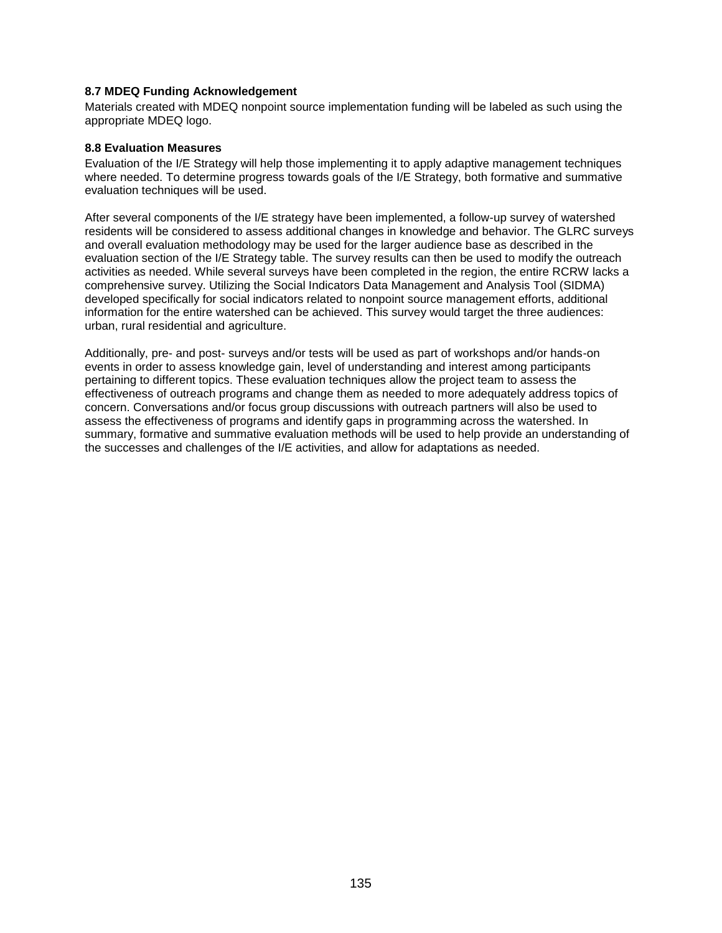## **8.7 MDEQ Funding Acknowledgement**

Materials created with MDEQ nonpoint source implementation funding will be labeled as such using the appropriate MDEQ logo.

### **8.8 Evaluation Measures**

Evaluation of the I/E Strategy will help those implementing it to apply adaptive management techniques where needed. To determine progress towards goals of the I/E Strategy, both formative and summative evaluation techniques will be used.

After several components of the I/E strategy have been implemented, a follow-up survey of watershed residents will be considered to assess additional changes in knowledge and behavior. The GLRC surveys and overall evaluation methodology may be used for the larger audience base as described in the evaluation section of the I/E Strategy table. The survey results can then be used to modify the outreach activities as needed. While several surveys have been completed in the region, the entire RCRW lacks a comprehensive survey. Utilizing the Social Indicators Data Management and Analysis Tool (SIDMA) developed specifically for social indicators related to nonpoint source management efforts, additional information for the entire watershed can be achieved. This survey would target the three audiences: urban, rural residential and agriculture.

Additionally, pre- and post- surveys and/or tests will be used as part of workshops and/or hands-on events in order to assess knowledge gain, level of understanding and interest among participants pertaining to different topics. These evaluation techniques allow the project team to assess the effectiveness of outreach programs and change them as needed to more adequately address topics of concern. Conversations and/or focus group discussions with outreach partners will also be used to assess the effectiveness of programs and identify gaps in programming across the watershed. In summary, formative and summative evaluation methods will be used to help provide an understanding of the successes and challenges of the I/E activities, and allow for adaptations as needed.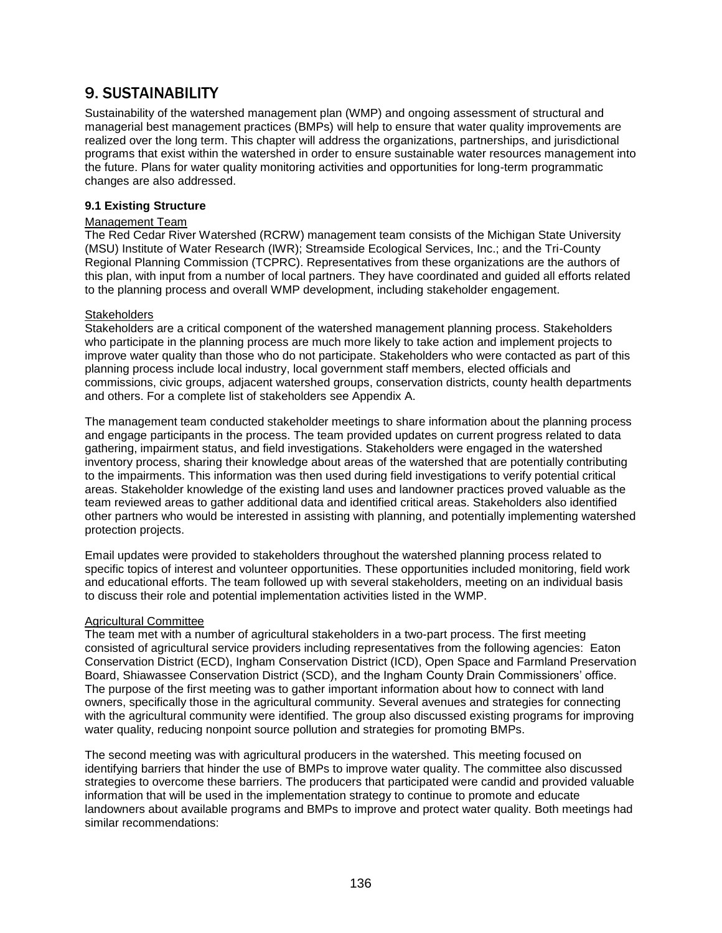## 9. SUSTAINABILITY

Sustainability of the watershed management plan (WMP) and ongoing assessment of structural and managerial best management practices (BMPs) will help to ensure that water quality improvements are realized over the long term. This chapter will address the organizations, partnerships, and jurisdictional programs that exist within the watershed in order to ensure sustainable water resources management into the future. Plans for water quality monitoring activities and opportunities for long-term programmatic changes are also addressed.

## **9.1 Existing Structure**

## Management Team

The Red Cedar River Watershed (RCRW) management team consists of the Michigan State University (MSU) Institute of Water Research (IWR); Streamside Ecological Services, Inc.; and the Tri-County Regional Planning Commission (TCPRC). Representatives from these organizations are the authors of this plan, with input from a number of local partners. They have coordinated and guided all efforts related to the planning process and overall WMP development, including stakeholder engagement.

## **Stakeholders**

Stakeholders are a critical component of the watershed management planning process. Stakeholders who participate in the planning process are much more likely to take action and implement projects to improve water quality than those who do not participate. Stakeholders who were contacted as part of this planning process include local industry, local government staff members, elected officials and commissions, civic groups, adjacent watershed groups, conservation districts, county health departments and others. For a complete list of stakeholders see Appendix A.

The management team conducted stakeholder meetings to share information about the planning process and engage participants in the process. The team provided updates on current progress related to data gathering, impairment status, and field investigations. Stakeholders were engaged in the watershed inventory process, sharing their knowledge about areas of the watershed that are potentially contributing to the impairments. This information was then used during field investigations to verify potential critical areas. Stakeholder knowledge of the existing land uses and landowner practices proved valuable as the team reviewed areas to gather additional data and identified critical areas. Stakeholders also identified other partners who would be interested in assisting with planning, and potentially implementing watershed protection projects.

Email updates were provided to stakeholders throughout the watershed planning process related to specific topics of interest and volunteer opportunities. These opportunities included monitoring, field work and educational efforts. The team followed up with several stakeholders, meeting on an individual basis to discuss their role and potential implementation activities listed in the WMP.

### Agricultural Committee

The team met with a number of agricultural stakeholders in a two-part process. The first meeting consisted of agricultural service providers including representatives from the following agencies: Eaton Conservation District (ECD), Ingham Conservation District (ICD), Open Space and Farmland Preservation Board, Shiawassee Conservation District (SCD), and the Ingham County Drain Commissioners' office. The purpose of the first meeting was to gather important information about how to connect with land owners, specifically those in the agricultural community. Several avenues and strategies for connecting with the agricultural community were identified. The group also discussed existing programs for improving water quality, reducing nonpoint source pollution and strategies for promoting BMPs.

The second meeting was with agricultural producers in the watershed. This meeting focused on identifying barriers that hinder the use of BMPs to improve water quality. The committee also discussed strategies to overcome these barriers. The producers that participated were candid and provided valuable information that will be used in the implementation strategy to continue to promote and educate landowners about available programs and BMPs to improve and protect water quality. Both meetings had similar recommendations: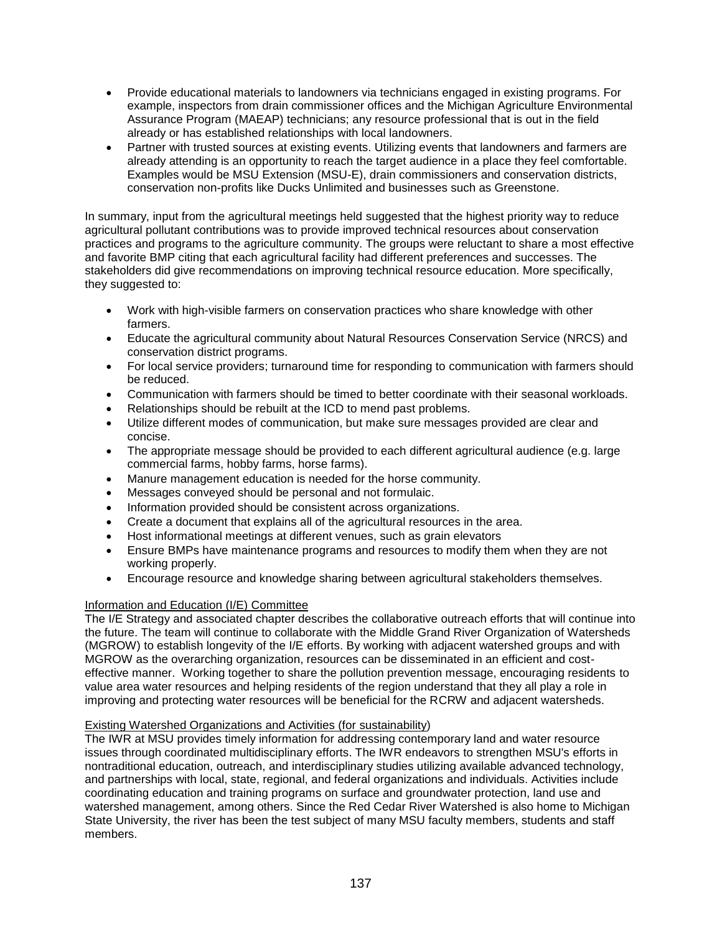- Provide educational materials to landowners via technicians engaged in existing programs. For example, inspectors from drain commissioner offices and the Michigan Agriculture Environmental Assurance Program (MAEAP) technicians; any resource professional that is out in the field already or has established relationships with local landowners.
- Partner with trusted sources at existing events. Utilizing events that landowners and farmers are already attending is an opportunity to reach the target audience in a place they feel comfortable. Examples would be MSU Extension (MSU-E), drain commissioners and conservation districts, conservation non-profits like Ducks Unlimited and businesses such as Greenstone.

In summary, input from the agricultural meetings held suggested that the highest priority way to reduce agricultural pollutant contributions was to provide improved technical resources about conservation practices and programs to the agriculture community. The groups were reluctant to share a most effective and favorite BMP citing that each agricultural facility had different preferences and successes. The stakeholders did give recommendations on improving technical resource education. More specifically, they suggested to:

- Work with high-visible farmers on conservation practices who share knowledge with other farmers.
- Educate the agricultural community about Natural Resources Conservation Service (NRCS) and conservation district programs.
- For local service providers; turnaround time for responding to communication with farmers should be reduced.
- Communication with farmers should be timed to better coordinate with their seasonal workloads.
- Relationships should be rebuilt at the ICD to mend past problems.
- Utilize different modes of communication, but make sure messages provided are clear and concise.
- The appropriate message should be provided to each different agricultural audience (e.g. large commercial farms, hobby farms, horse farms).
- Manure management education is needed for the horse community.
- Messages conveyed should be personal and not formulaic.
- Information provided should be consistent across organizations.
- Create a document that explains all of the agricultural resources in the area.
- Host informational meetings at different venues, such as grain elevators
- Ensure BMPs have maintenance programs and resources to modify them when they are not working properly.
- Encourage resource and knowledge sharing between agricultural stakeholders themselves.

## Information and Education (I/E) Committee

The I/E Strategy and associated chapter describes the collaborative outreach efforts that will continue into the future. The team will continue to collaborate with the Middle Grand River Organization of Watersheds (MGROW) to establish longevity of the I/E efforts. By working with adjacent watershed groups and with MGROW as the overarching organization, resources can be disseminated in an efficient and costeffective manner. Working together to share the pollution prevention message, encouraging residents to value area water resources and helping residents of the region understand that they all play a role in improving and protecting water resources will be beneficial for the RCRW and adjacent watersheds.

## Existing Watershed Organizations and Activities (for sustainability)

The IWR at MSU provides timely information for addressing contemporary land and water resource issues through coordinated multidisciplinary efforts. The IWR endeavors to strengthen MSU's efforts in nontraditional education, outreach, and interdisciplinary studies utilizing available advanced technology, and partnerships with local, state, regional, and federal organizations and individuals. Activities include coordinating education and training programs on surface and groundwater protection, land use and watershed management, among others. Since the Red Cedar River Watershed is also home to Michigan State University, the river has been the test subject of many MSU faculty members, students and staff members.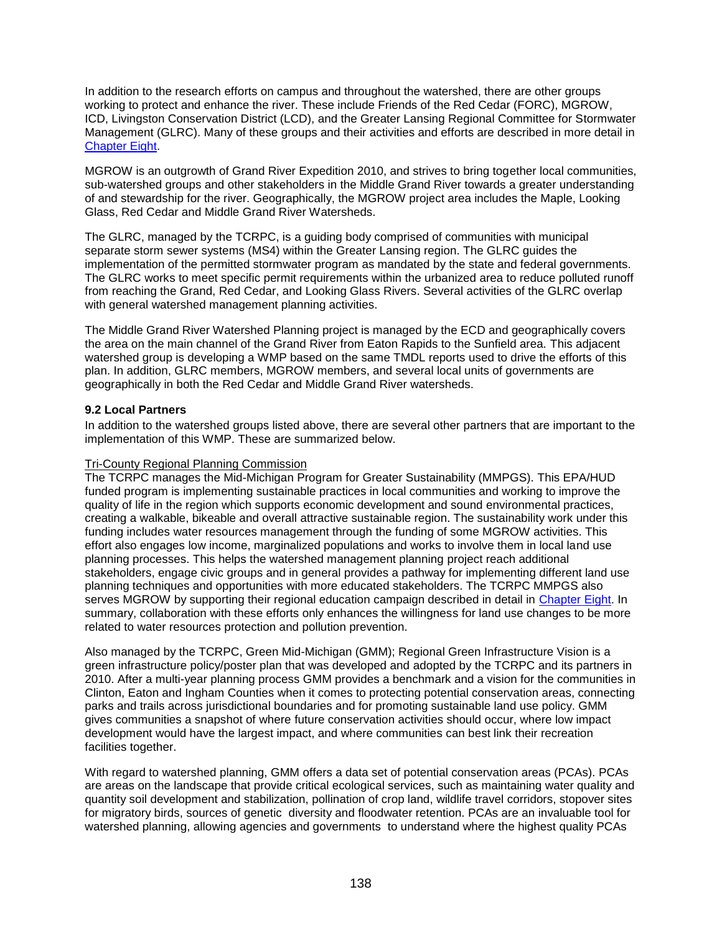In addition to the research efforts on campus and throughout the watershed, there are other groups working to protect and enhance the river. These include Friends of the Red Cedar (FORC), MGROW, ICD, Livingston Conservation District (LCD), and the Greater Lansing Regional Committee for Stormwater Management (GLRC). Many of these groups and their activities and efforts are described in more detail in **[Chapter Eight.](#page-2-0)** 

MGROW is an outgrowth of Grand River Expedition 2010, and strives to bring together local communities, sub-watershed groups and other stakeholders in the Middle Grand River towards a greater understanding of and stewardship for the river. Geographically, the MGROW project area includes the Maple, Looking Glass, Red Cedar and Middle Grand River Watersheds.

The GLRC, managed by the TCRPC, is a guiding body comprised of communities with municipal separate storm sewer systems (MS4) within the Greater Lansing region. The GLRC guides the implementation of the permitted stormwater program as mandated by the state and federal governments. The GLRC works to meet specific permit requirements within the urbanized area to reduce polluted runoff from reaching the Grand, Red Cedar, and Looking Glass Rivers. Several activities of the GLRC overlap with general watershed management planning activities.

The Middle Grand River Watershed Planning project is managed by the ECD and geographically covers the area on the main channel of the Grand River from Eaton Rapids to the Sunfield area. This adjacent watershed group is developing a WMP based on the same TMDL reports used to drive the efforts of this plan. In addition, GLRC members, MGROW members, and several local units of governments are geographically in both the Red Cedar and Middle Grand River watersheds.

## <span id="page-12-0"></span>**9.2 Local Partners**

In addition to the watershed groups listed above, there are several other partners that are important to the implementation of this WMP. These are summarized below.

## Tri-County Regional Planning Commission

The TCRPC manages the Mid-Michigan Program for Greater Sustainability (MMPGS). This EPA/HUD funded program is implementing sustainable practices in local communities and working to improve the quality of life in the region which supports economic development and sound environmental practices, creating a walkable, bikeable and overall attractive sustainable region. The sustainability work under this funding includes water resources management through the funding of some MGROW activities. This effort also engages low income, marginalized populations and works to involve them in local land use planning processes. This helps the watershed management planning project reach additional stakeholders, engage civic groups and in general provides a pathway for implementing different land use planning techniques and opportunities with more educated stakeholders. The TCRPC MMPGS also serves MGROW by supporting their regional education campaign described in detail in [Chapter Eight.](#page-2-0) In summary, collaboration with these efforts only enhances the willingness for land use changes to be more related to water resources protection and pollution prevention.

Also managed by the TCRPC, Green Mid-Michigan (GMM); Regional Green Infrastructure Vision is a green infrastructure policy/poster plan that was developed and adopted by the TCRPC and its partners in 2010. After a multi-year planning process GMM provides a benchmark and a vision for the communities in Clinton, Eaton and Ingham Counties when it comes to protecting potential conservation areas, connecting parks and trails across jurisdictional boundaries and for promoting sustainable land use policy. GMM gives communities a snapshot of where future conservation activities should occur, where low impact development would have the largest impact, and where communities can best link their recreation facilities together.

With regard to watershed planning, GMM offers a data set of potential conservation areas (PCAs). PCAs are areas on the landscape that provide critical ecological services, such as maintaining water quality and quantity soil development and stabilization, pollination of crop land, wildlife travel corridors, stopover sites for migratory birds, sources of genetic diversity and floodwater retention. PCAs are an invaluable tool for watershed planning, allowing agencies and governments to understand where the highest quality PCAs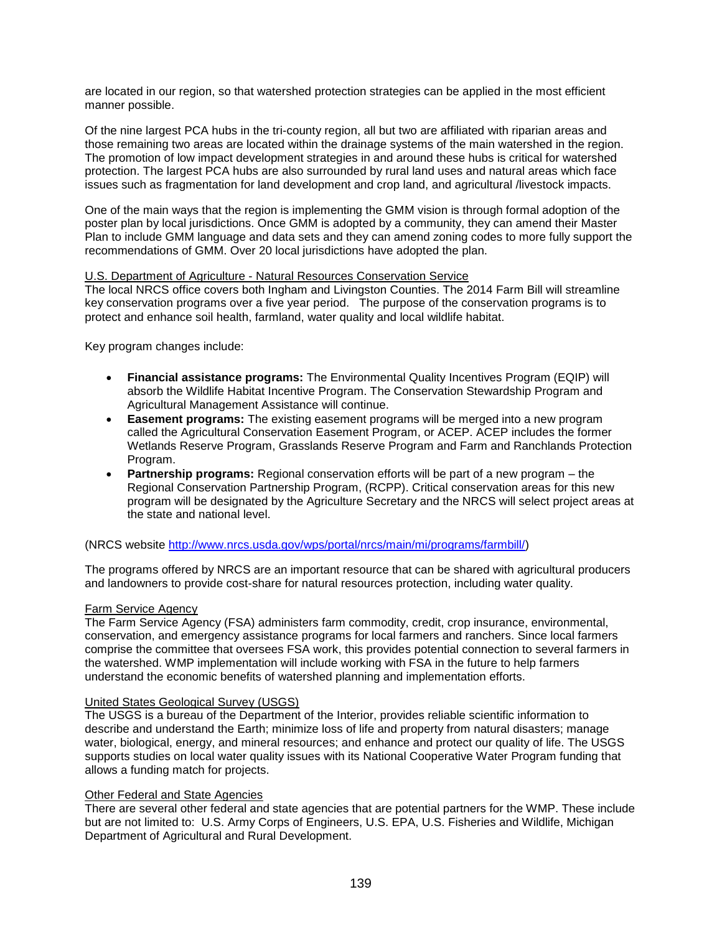are located in our region, so that watershed protection strategies can be applied in the most efficient manner possible.

Of the nine largest PCA hubs in the tri-county region, all but two are affiliated with riparian areas and those remaining two areas are located within the drainage systems of the main watershed in the region. The promotion of low impact development strategies in and around these hubs is critical for watershed protection. The largest PCA hubs are also surrounded by rural land uses and natural areas which face issues such as fragmentation for land development and crop land, and agricultural /livestock impacts.

One of the main ways that the region is implementing the GMM vision is through formal adoption of the poster plan by local jurisdictions. Once GMM is adopted by a community, they can amend their Master Plan to include GMM language and data sets and they can amend zoning codes to more fully support the recommendations of GMM. Over 20 local jurisdictions have adopted the plan.

## U.S. Department of Agriculture - Natural Resources Conservation Service

The local NRCS office covers both Ingham and Livingston Counties. The 2014 Farm Bill will streamline key conservation programs over a five year period. The purpose of the conservation programs is to protect and enhance soil health, farmland, water quality and local wildlife habitat.

Key program changes include:

- **Financial assistance programs:** The Environmental Quality Incentives Program (EQIP) will absorb the Wildlife Habitat Incentive Program. The Conservation Stewardship Program and Agricultural Management Assistance will continue.
- **Easement programs:** The existing easement programs will be merged into a new program called the Agricultural Conservation Easement Program, or ACEP. ACEP includes the former Wetlands Reserve Program, Grasslands Reserve Program and Farm and Ranchlands Protection Program.
- **Partnership programs:** Regional conservation efforts will be part of a new program the Regional Conservation Partnership Program, (RCPP). Critical conservation areas for this new program will be designated by the Agriculture Secretary and the NRCS will select project areas at the state and national level.

(NRCS website [http://www.nrcs.usda.gov/wps/portal/nrcs/main/mi/programs/farmbill/\)](http://www.nrcs.usda.gov/wps/portal/nrcs/main/mi/programs/farmbill/)

The programs offered by NRCS are an important resource that can be shared with agricultural producers and landowners to provide cost-share for natural resources protection, including water quality.

### Farm Service Agency

The Farm Service Agency (FSA) administers farm commodity, credit, crop insurance, environmental, conservation, and emergency assistance programs for local farmers and ranchers. Since local farmers comprise the committee that oversees FSA work, this provides potential connection to several farmers in the watershed. WMP implementation will include working with FSA in the future to help farmers understand the economic benefits of watershed planning and implementation efforts.

### United States Geological Survey (USGS)

The USGS is a bureau of the Department of the Interior, provides reliable scientific information to describe and understand the Earth; minimize loss of life and property from natural disasters; manage water, biological, energy, and mineral resources; and enhance and protect our quality of life. The USGS supports studies on local water quality issues with its National Cooperative Water Program funding that allows a funding match for projects.

## Other Federal and State Agencies

There are several other federal and state agencies that are potential partners for the WMP. These include but are not limited to: U.S. Army Corps of Engineers, U.S. EPA, U.S. Fisheries and Wildlife, Michigan Department of Agricultural and Rural Development.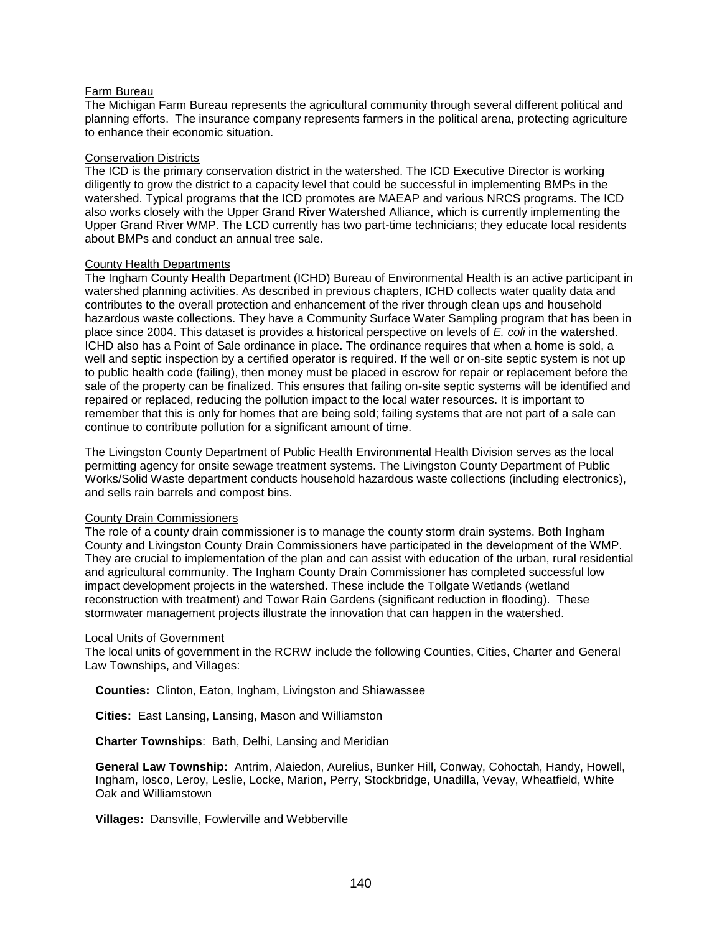## Farm Bureau

The Michigan Farm Bureau represents the agricultural community through several different political and planning efforts. The insurance company represents farmers in the political arena, protecting agriculture to enhance their economic situation.

## Conservation Districts

The ICD is the primary conservation district in the watershed. The ICD Executive Director is working diligently to grow the district to a capacity level that could be successful in implementing BMPs in the watershed. Typical programs that the ICD promotes are MAEAP and various NRCS programs. The ICD also works closely with the Upper Grand River Watershed Alliance, which is currently implementing the Upper Grand River WMP. The LCD currently has two part-time technicians; they educate local residents about BMPs and conduct an annual tree sale.

### County Health Departments

The Ingham County Health Department (ICHD) Bureau of Environmental Health is an active participant in watershed planning activities. As described in previous chapters, ICHD collects water quality data and contributes to the overall protection and enhancement of the river through clean ups and household hazardous waste collections. They have a Community Surface Water Sampling program that has been in place since 2004. This dataset is provides a historical perspective on levels of *E. coli* in the watershed. ICHD also has a Point of Sale ordinance in place. The ordinance requires that when a home is sold, a well and septic inspection by a certified operator is required. If the well or on-site septic system is not up to public health code (failing), then money must be placed in escrow for repair or replacement before the sale of the property can be finalized. This ensures that failing on-site septic systems will be identified and repaired or replaced, reducing the pollution impact to the local water resources. It is important to remember that this is only for homes that are being sold; failing systems that are not part of a sale can continue to contribute pollution for a significant amount of time.

The Livingston County Department of Public Health Environmental Health Division serves as the local permitting agency for onsite sewage treatment systems. The Livingston County Department of Public Works/Solid Waste department conducts household hazardous waste collections (including electronics), and sells rain barrels and compost bins.

### County Drain Commissioners

The role of a county drain commissioner is to manage the county storm drain systems. Both Ingham County and Livingston County Drain Commissioners have participated in the development of the WMP. They are crucial to implementation of the plan and can assist with education of the urban, rural residential and agricultural community. The Ingham County Drain Commissioner has completed successful low impact development projects in the watershed. These include the Tollgate Wetlands (wetland reconstruction with treatment) and Towar Rain Gardens (significant reduction in flooding). These stormwater management projects illustrate the innovation that can happen in the watershed.

## **Local Units of Government**

The local units of government in the RCRW include the following Counties, Cities, Charter and General Law Townships, and Villages:

**Counties:** Clinton, Eaton, Ingham, Livingston and Shiawassee

**Cities:** East Lansing, Lansing, Mason and Williamston

**Charter Townships**: Bath, Delhi, Lansing and Meridian

**General Law Township:** Antrim, Alaiedon, Aurelius, Bunker Hill, Conway, Cohoctah, Handy, Howell, Ingham, Iosco, Leroy, Leslie, Locke, Marion, Perry, Stockbridge, Unadilla, Vevay, Wheatfield, White Oak and Williamstown

**Villages:** Dansville, Fowlerville and Webberville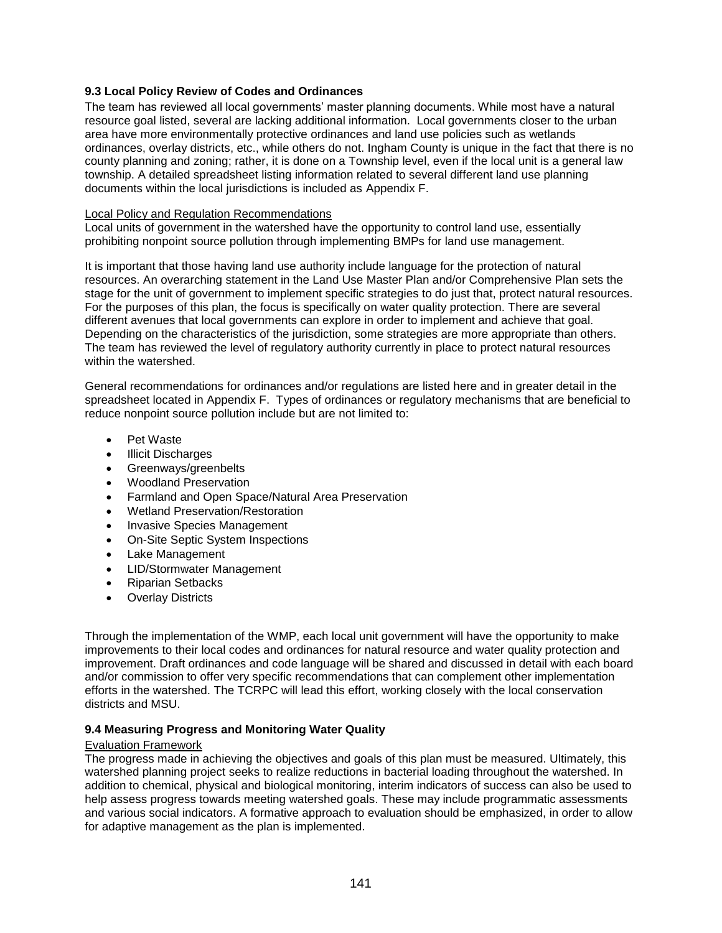## **9.3 Local Policy Review of Codes and Ordinances**

The team has reviewed all local governments' master planning documents. While most have a natural resource goal listed, several are lacking additional information. Local governments closer to the urban area have more environmentally protective ordinances and land use policies such as wetlands ordinances, overlay districts, etc., while others do not. Ingham County is unique in the fact that there is no county planning and zoning; rather, it is done on a Township level, even if the local unit is a general law township. A detailed spreadsheet listing information related to several different land use planning documents within the local jurisdictions is included as Appendix F.

## Local Policy and Regulation Recommendations

Local units of government in the watershed have the opportunity to control land use, essentially prohibiting nonpoint source pollution through implementing BMPs for land use management.

It is important that those having land use authority include language for the protection of natural resources. An overarching statement in the Land Use Master Plan and/or Comprehensive Plan sets the stage for the unit of government to implement specific strategies to do just that, protect natural resources. For the purposes of this plan, the focus is specifically on water quality protection. There are several different avenues that local governments can explore in order to implement and achieve that goal. Depending on the characteristics of the jurisdiction, some strategies are more appropriate than others. The team has reviewed the level of regulatory authority currently in place to protect natural resources within the watershed.

General recommendations for ordinances and/or regulations are listed here and in greater detail in the spreadsheet located in Appendix F. Types of ordinances or regulatory mechanisms that are beneficial to reduce nonpoint source pollution include but are not limited to:

- Pet Waste
- Illicit Discharges
- Greenways/greenbelts
- Woodland Preservation
- Farmland and Open Space/Natural Area Preservation
- Wetland Preservation/Restoration
- Invasive Species Management
- On-Site Septic System Inspections
- Lake Management
- LID/Stormwater Management
- Riparian Setbacks
- Overlay Districts

Through the implementation of the WMP, each local unit government will have the opportunity to make improvements to their local codes and ordinances for natural resource and water quality protection and improvement. Draft ordinances and code language will be shared and discussed in detail with each board and/or commission to offer very specific recommendations that can complement other implementation efforts in the watershed. The TCRPC will lead this effort, working closely with the local conservation districts and MSU.

### **9.4 Measuring Progress and Monitoring Water Quality**

### Evaluation Framework

The progress made in achieving the objectives and goals of this plan must be measured. Ultimately, this watershed planning project seeks to realize reductions in bacterial loading throughout the watershed. In addition to chemical, physical and biological monitoring, interim indicators of success can also be used to help assess progress towards meeting watershed goals. These may include programmatic assessments and various social indicators. A formative approach to evaluation should be emphasized, in order to allow for adaptive management as the plan is implemented.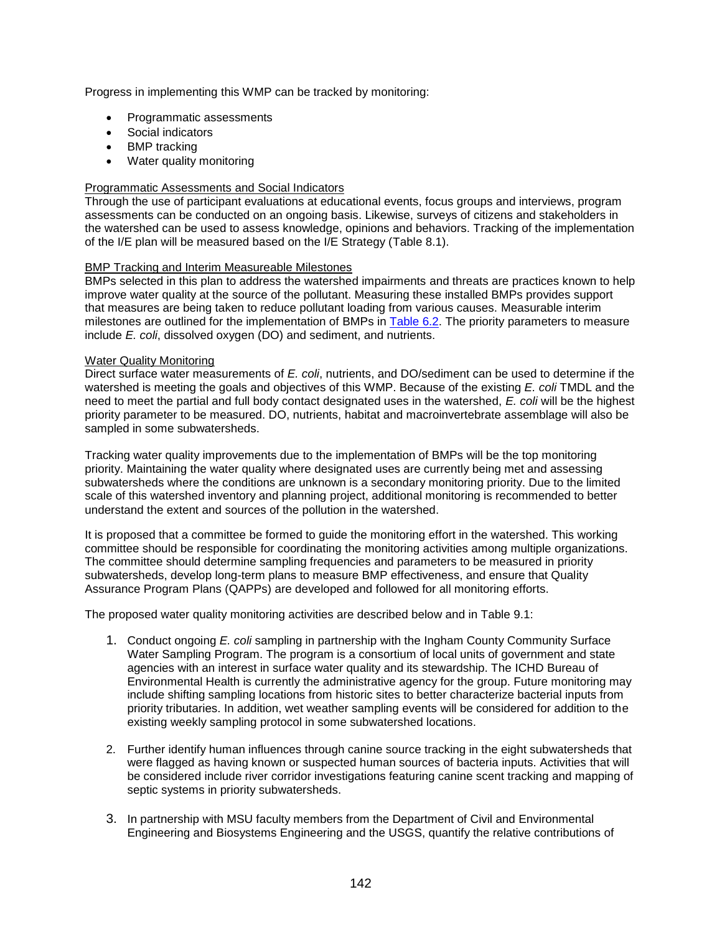Progress in implementing this WMP can be tracked by monitoring:

- Programmatic assessments
- Social indicators
- BMP tracking
- Water quality monitoring

## Programmatic Assessments and Social Indicators

Through the use of participant evaluations at educational events, focus groups and interviews, program assessments can be conducted on an ongoing basis. Likewise, surveys of citizens and stakeholders in the watershed can be used to assess knowledge, opinions and behaviors. Tracking of the implementation of the I/E plan will be measured based on the I/E Strategy (Table 8.1).

### BMP Tracking and Interim Measureable Milestones

BMPs selected in this plan to address the watershed impairments and threats are practices known to help improve water quality at the source of the pollutant. Measuring these installed BMPs provides support that measures are being taken to reduce pollutant loading from various causes. Measurable interim milestones are outlined for the implementation of BMPs in Table 6.2. The priority parameters to measure include *E. coli*, dissolved oxygen (DO) and sediment, and nutrients.

### Water Quality Monitoring

Direct surface water measurements of *E. coli*, nutrients, and DO/sediment can be used to determine if the watershed is meeting the goals and objectives of this WMP. Because of the existing *E. coli* TMDL and the need to meet the partial and full body contact designated uses in the watershed, *E. coli* will be the highest priority parameter to be measured. DO, nutrients, habitat and macroinvertebrate assemblage will also be sampled in some subwatersheds.

Tracking water quality improvements due to the implementation of BMPs will be the top monitoring priority. Maintaining the water quality where designated uses are currently being met and assessing subwatersheds where the conditions are unknown is a secondary monitoring priority. Due to the limited scale of this watershed inventory and planning project, additional monitoring is recommended to better understand the extent and sources of the pollution in the watershed.

It is proposed that a committee be formed to guide the monitoring effort in the watershed. This working committee should be responsible for coordinating the monitoring activities among multiple organizations. The committee should determine sampling frequencies and parameters to be measured in priority subwatersheds, develop long-term plans to measure BMP effectiveness, and ensure that Quality Assurance Program Plans (QAPPs) are developed and followed for all monitoring efforts.

The proposed water quality monitoring activities are described below and in Table 9.1:

- 1. Conduct ongoing *E. coli* sampling in partnership with the Ingham County Community Surface Water Sampling Program. The program is a consortium of local units of government and state agencies with an interest in surface water quality and its stewardship. The ICHD Bureau of Environmental Health is currently the administrative agency for the group. Future monitoring may include shifting sampling locations from historic sites to better characterize bacterial inputs from priority tributaries. In addition, wet weather sampling events will be considered for addition to the existing weekly sampling protocol in some subwatershed locations.
- 2. Further identify human influences through canine source tracking in the eight subwatersheds that were flagged as having known or suspected human sources of bacteria inputs. Activities that will be considered include river corridor investigations featuring canine scent tracking and mapping of septic systems in priority subwatersheds.
- 3. In partnership with MSU faculty members from the Department of Civil and Environmental Engineering and Biosystems Engineering and the USGS, quantify the relative contributions of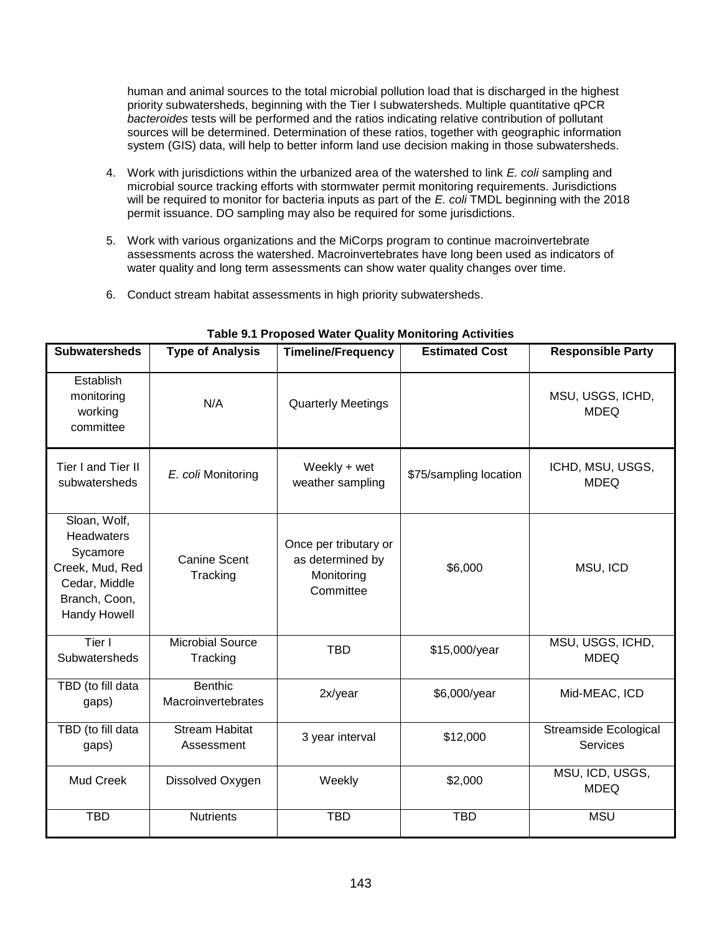human and animal sources to the total microbial pollution load that is discharged in the highest priority subwatersheds, beginning with the Tier I subwatersheds. Multiple quantitative qPCR *bacteroides* tests will be performed and the ratios indicating relative contribution of pollutant sources will be determined. Determination of these ratios, together with geographic information system (GIS) data, will help to better inform land use decision making in those subwatersheds.

- 4. Work with jurisdictions within the urbanized area of the watershed to link *E. coli* sampling and microbial source tracking efforts with stormwater permit monitoring requirements. Jurisdictions will be required to monitor for bacteria inputs as part of the *E. coli* TMDL beginning with the 2018 permit issuance. DO sampling may also be required for some jurisdictions.
- 5. Work with various organizations and the MiCorps program to continue macroinvertebrate assessments across the watershed. Macroinvertebrates have long been used as indicators of water quality and long term assessments can show water quality changes over time.
- 6. Conduct stream habitat assessments in high priority subwatersheds.

| <b>Subwatersheds</b>                                                                                                      | <b>Type of Analysis</b>             | <b>Timeline/Frequency</b>                                            | <b>Estimated Cost</b>  | <b>Responsible Party</b>                 |  |
|---------------------------------------------------------------------------------------------------------------------------|-------------------------------------|----------------------------------------------------------------------|------------------------|------------------------------------------|--|
| Establish<br>monitoring<br>working<br>committee                                                                           | N/A                                 | <b>Quarterly Meetings</b>                                            |                        | MSU, USGS, ICHD,<br><b>MDEQ</b>          |  |
| Tier I and Tier II<br>subwatersheds                                                                                       | E. coli Monitoring                  | Weekly + wet<br>weather sampling                                     | \$75/sampling location | ICHD, MSU, USGS,<br><b>MDEQ</b>          |  |
| Sloan, Wolf,<br><b>Headwaters</b><br>Sycamore<br>Creek, Mud, Red<br>Cedar, Middle<br>Branch, Coon,<br><b>Handy Howell</b> | Canine Scent<br>Tracking            | Once per tributary or<br>as determined by<br>Monitoring<br>Committee | \$6,000                | MSU, ICD                                 |  |
| Tier I<br>Subwatersheds                                                                                                   | <b>Microbial Source</b><br>Tracking | <b>TBD</b>                                                           | \$15,000/year          | MSU, USGS, ICHD,<br><b>MDEQ</b>          |  |
| TBD (to fill data<br>gaps)                                                                                                | Benthic<br>Macroinvertebrates       | 2x/year                                                              | \$6,000/year           | Mid-MEAC, ICD                            |  |
| TBD (to fill data<br>gaps)                                                                                                | <b>Stream Habitat</b><br>Assessment | 3 year interval                                                      | \$12,000               | <b>Streamside Ecological</b><br>Services |  |
| Mud Creek                                                                                                                 | Dissolved Oxygen                    | Weekly                                                               | \$2,000                | MSU, ICD, USGS,<br><b>MDEQ</b>           |  |
| <b>TBD</b>                                                                                                                | <b>Nutrients</b>                    | <b>TBD</b><br><b>TBD</b>                                             |                        | <b>MSU</b>                               |  |

**Table 9.1 Proposed Water Quality Monitoring Activities**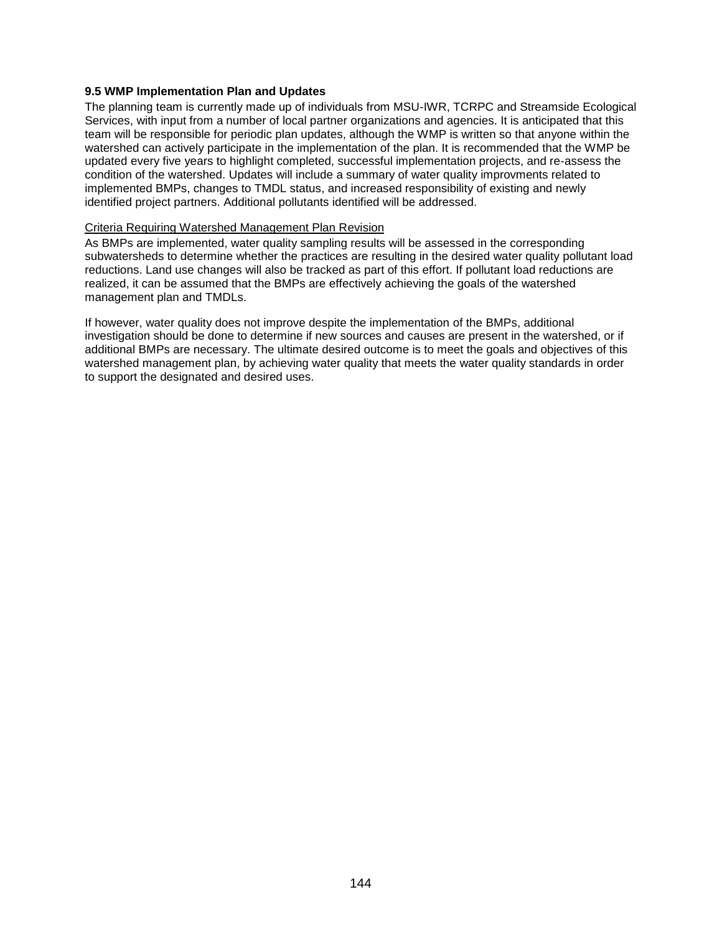## **9.5 WMP Implementation Plan and Updates**

The planning team is currently made up of individuals from MSU-IWR, TCRPC and Streamside Ecological Services, with input from a number of local partner organizations and agencies. It is anticipated that this team will be responsible for periodic plan updates, although the WMP is written so that anyone within the watershed can actively participate in the implementation of the plan. It is recommended that the WMP be updated every five years to highlight completed, successful implementation projects, and re-assess the condition of the watershed. Updates will include a summary of water quality improvments related to implemented BMPs, changes to TMDL status, and increased responsibility of existing and newly identified project partners. Additional pollutants identified will be addressed.

## Criteria Requiring Watershed Management Plan Revision

As BMPs are implemented, water quality sampling results will be assessed in the corresponding subwatersheds to determine whether the practices are resulting in the desired water quality pollutant load reductions. Land use changes will also be tracked as part of this effort. If pollutant load reductions are realized, it can be assumed that the BMPs are effectively achieving the goals of the watershed management plan and TMDLs.

If however, water quality does not improve despite the implementation of the BMPs, additional investigation should be done to determine if new sources and causes are present in the watershed, or if additional BMPs are necessary. The ultimate desired outcome is to meet the goals and objectives of this watershed management plan, by achieving water quality that meets the water quality standards in order to support the designated and desired uses.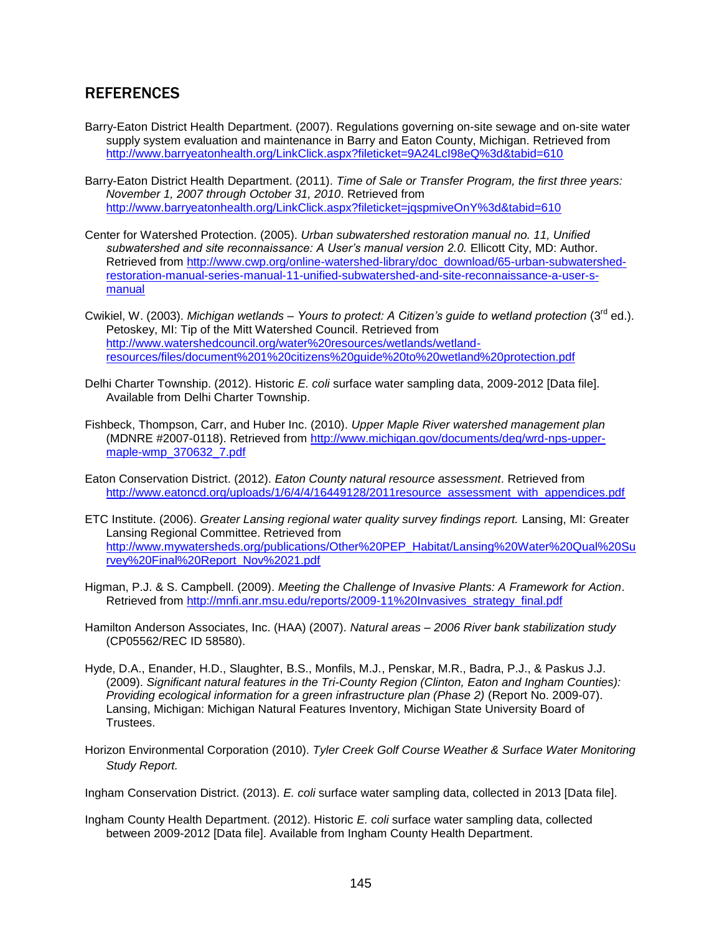## **REFERENCES**

- Barry-Eaton District Health Department. (2007). Regulations governing on-site sewage and on-site water supply system evaluation and maintenance in Barry and Eaton County, Michigan. Retrieved from <http://www.barryeatonhealth.org/LinkClick.aspx?fileticket=9A24LcI98eQ%3d&tabid=610>
- Barry-Eaton District Health Department. (2011). *Time of Sale or Transfer Program, the first three years: November 1, 2007 through October 31, 2010*. Retrieved from <http://www.barryeatonhealth.org/LinkClick.aspx?fileticket=jqspmiveOnY%3d&tabid=610>
- Center for Watershed Protection. (2005). *Urban subwatershed restoration manual no. 11, Unified subwatershed and site reconnaissance: A User's manual version 2.0.* Ellicott City, MD: Author. Retrieved from [http://www.cwp.org/online-watershed-library/doc\\_download/65-urban-subwatershed](http://www.cwp.org/online-watershed-library/doc_download/65-urban-subwatershed-restoration-manual-series-manual-11-unified-subwatershed-and-site-reconnaissance-a-user-s-manual)[restoration-manual-series-manual-11-unified-subwatershed-and-site-reconnaissance-a-user-s](http://www.cwp.org/online-watershed-library/doc_download/65-urban-subwatershed-restoration-manual-series-manual-11-unified-subwatershed-and-site-reconnaissance-a-user-s-manual)[manual](http://www.cwp.org/online-watershed-library/doc_download/65-urban-subwatershed-restoration-manual-series-manual-11-unified-subwatershed-and-site-reconnaissance-a-user-s-manual)
- Cwikiel, W. (2003). Michigan wetlands Yours to protect: A Citizen's quide to wetland protection (3<sup>rd</sup> ed.). Petoskey, MI: Tip of the Mitt Watershed Council. Retrieved from [http://www.watershedcouncil.org/water%20resources/wetlands/wetland](http://www.watershedcouncil.org/water%20resources/wetlands/wetland-resources/files/document%201%20citizens%20guide%20to%20wetland%20protection.pdf)[resources/files/document%201%20citizens%20guide%20to%20wetland%20protection.pdf](http://www.watershedcouncil.org/water%20resources/wetlands/wetland-resources/files/document%201%20citizens%20guide%20to%20wetland%20protection.pdf)
- Delhi Charter Township. (2012). Historic *E. coli* surface water sampling data, 2009-2012 [Data file]. Available from Delhi Charter Township.
- Fishbeck, Thompson, Carr, and Huber Inc. (2010). *Upper Maple River watershed management plan*  (MDNRE #2007-0118). Retrieved from [http://www.michigan.gov/documents/deq/wrd-nps-upper](http://www.michigan.gov/documents/deq/wrd-nps-upper-maple-wmp_370632_7.pdf)[maple-wmp\\_370632\\_7.pdf](http://www.michigan.gov/documents/deq/wrd-nps-upper-maple-wmp_370632_7.pdf)
- Eaton Conservation District. (2012). *Eaton County natural resource assessment*. Retrieved from [http://www.eatoncd.org/uploads/1/6/4/4/16449128/2011resource\\_assessment\\_with\\_appendices.pdf](http://www.eatoncd.org/uploads/1/6/4/4/16449128/2011resource_assessment_with_appendices.pdf)
- ETC Institute. (2006). *Greater Lansing regional water quality survey findings report.* Lansing, MI: Greater Lansing Regional Committee. Retrieved from [http://www.mywatersheds.org/publications/Other%20PEP\\_Habitat/Lansing%20Water%20Qual%20Su](http://www.mywatersheds.org/publications/Other%20PEP_Habitat/Lansing%20Water%20Qual%20Survey%20Final%20Report_Nov%2021.pdf) [rvey%20Final%20Report\\_Nov%2021.pdf](http://www.mywatersheds.org/publications/Other%20PEP_Habitat/Lansing%20Water%20Qual%20Survey%20Final%20Report_Nov%2021.pdf)
- Higman, P.J. & S. Campbell. (2009). *Meeting the Challenge of Invasive Plants: A Framework for Action*. Retrieved from [http://mnfi.anr.msu.edu/reports/2009-11%20Invasives\\_strategy\\_final.pdf](http://mnfi.anr.msu.edu/reports/2009-11%20Invasives_strategy_final.pdf)
- Hamilton Anderson Associates, Inc. (HAA) (2007). *Natural areas – 2006 River bank stabilization study* (CP05562/REC ID 58580).
- Hyde, D.A., Enander, H.D., Slaughter, B.S., Monfils, M.J., Penskar, M.R., Badra, P.J., & Paskus J.J. (2009). *Significant natural features in the Tri-County Region (Clinton, Eaton and Ingham Counties): Providing ecological information for a green infrastructure plan (Phase 2)* (Report No. 2009-07). Lansing, Michigan: Michigan Natural Features Inventory, Michigan State University Board of Trustees.
- Horizon Environmental Corporation (2010). *Tyler Creek Golf Course Weather & Surface Water Monitoring Study Report.*

Ingham Conservation District. (2013). *E. coli* surface water sampling data, collected in 2013 [Data file].

Ingham County Health Department. (2012). Historic *E. coli* surface water sampling data, collected between 2009-2012 [Data file]. Available from Ingham County Health Department.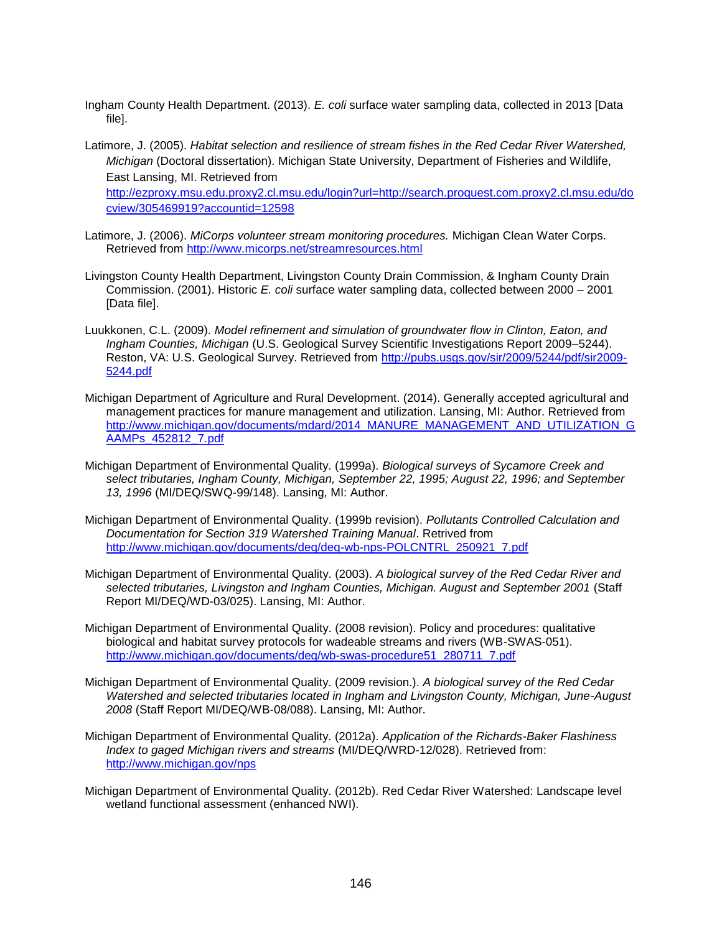- Ingham County Health Department. (2013). *E. coli* surface water sampling data, collected in 2013 [Data file].
- Latimore, J. (2005). *Habitat selection and resilience of stream fishes in the Red Cedar River Watershed, Michigan* (Doctoral dissertation). Michigan State University, Department of Fisheries and Wildlife, East Lansing, MI. Retrieved from [http://ezproxy.msu.edu.proxy2.cl.msu.edu/login?url=http://search.proquest.com.proxy2.cl.msu.edu/do](http://ezproxy.msu.edu.proxy2.cl.msu.edu/login?url=http://search.proquest.com.proxy2.cl.msu.edu/docview/305469919?accountid=12598) [cview/305469919?accountid=12598](http://ezproxy.msu.edu.proxy2.cl.msu.edu/login?url=http://search.proquest.com.proxy2.cl.msu.edu/docview/305469919?accountid=12598)
- Latimore, J. (2006). *MiCorps volunteer stream monitoring procedures.* Michigan Clean Water Corps. Retrieved from<http://www.micorps.net/streamresources.html>
- Livingston County Health Department, Livingston County Drain Commission, & Ingham County Drain Commission. (2001). Historic *E. coli* surface water sampling data, collected between 2000 – 2001 [Data file].
- Luukkonen, C.L. (2009). *Model refinement and simulation of groundwater flow in Clinton, Eaton, and Ingham Counties, Michigan* (U.S. Geological Survey Scientific Investigations Report 2009–5244). Reston, VA: U.S. Geological Survey. Retrieved from [http://pubs.usgs.gov/sir/2009/5244/pdf/sir2009-](http://pubs.usgs.gov/sir/2009/5244/pdf/sir2009-5244.pdf) [5244.pdf](http://pubs.usgs.gov/sir/2009/5244/pdf/sir2009-5244.pdf)
- Michigan Department of Agriculture and Rural Development. (2014). Generally accepted agricultural and management practices for manure management and utilization. Lansing, MI: Author. Retrieved from [http://www.michigan.gov/documents/mdard/2014\\_MANURE\\_MANAGEMENT\\_AND\\_UTILIZATION\\_G](http://www.michigan.gov/documents/mdard/2014_MANURE_MANAGEMENT_AND_UTILIZATION_GAAMPs_452812_7.pdf) [AAMPs\\_452812\\_7.pdf](http://www.michigan.gov/documents/mdard/2014_MANURE_MANAGEMENT_AND_UTILIZATION_GAAMPs_452812_7.pdf)
- Michigan Department of Environmental Quality. (1999a). *Biological surveys of Sycamore Creek and select tributaries, Ingham County, Michigan, September 22, 1995; August 22, 1996; and September 13, 1996* (MI/DEQ/SWQ-99/148). Lansing, MI: Author.
- Michigan Department of Environmental Quality. (1999b revision). *Pollutants Controlled Calculation and Documentation for Section 319 Watershed Training Manual*. Retrived from [http://www.michigan.gov/documents/deq/deq-wb-nps-POLCNTRL\\_250921\\_7.pdf](http://www.michigan.gov/documents/deq/deq-wb-nps-POLCNTRL_250921_7.pdf)
- Michigan Department of Environmental Quality. (2003). *A biological survey of the Red Cedar River and selected tributaries, Livingston and Ingham Counties, Michigan. August and September 2001* (Staff Report MI/DEQ/WD-03/025). Lansing, MI: Author.
- Michigan Department of Environmental Quality. (2008 revision). Policy and procedures: qualitative biological and habitat survey protocols for wadeable streams and rivers (WB-SWAS-051). [http://www.michigan.gov/documents/deq/wb-swas-procedure51\\_280711\\_7.pdf](http://www.michigan.gov/documents/deq/wb-swas-procedure51_280711_7.pdf)
- Michigan Department of Environmental Quality. (2009 revision.). *A biological survey of the Red Cedar Watershed and selected tributaries located in Ingham and Livingston County, Michigan, June-August 2008* (Staff Report MI/DEQ/WB-08/088). Lansing, MI: Author.
- Michigan Department of Environmental Quality. (2012a). *Application of the Richards-Baker Flashiness Index to gaged Michigan rivers and streams* (MI/DEQ/WRD-12/028). Retrieved from: <http://www.michigan.gov/nps>
- Michigan Department of Environmental Quality. (2012b). Red Cedar River Watershed: Landscape level wetland functional assessment (enhanced NWI).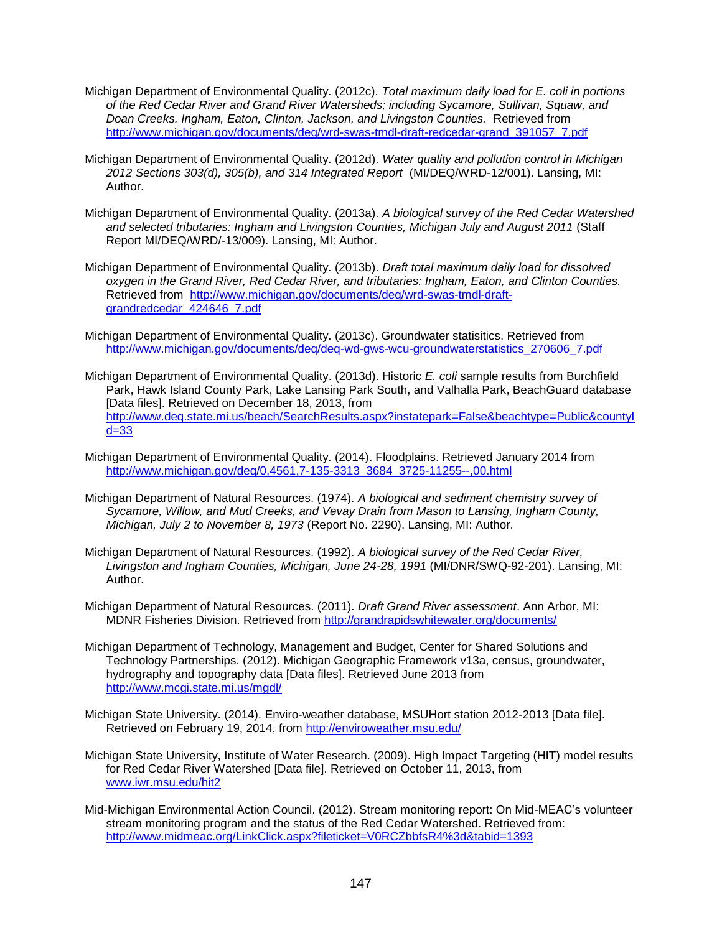- Michigan Department of Environmental Quality. (2012c). *Total maximum daily load for E. coli in portions of the Red Cedar River and Grand River Watersheds; including Sycamore, Sullivan, Squaw, and Doan Creeks. Ingham, Eaton, Clinton, Jackson, and Livingston Counties.* Retrieved from [http://www.michigan.gov/documents/deq/wrd-swas-tmdl-draft-redcedar-grand\\_391057\\_7.pdf](http://www.michigan.gov/documents/deq/wrd-swas-tmdl-draft-redcedar-grand_391057_7.pdf)
- Michigan Department of Environmental Quality. (2012d). *Water quality and pollution control in Michigan 2012 Sections 303(d), 305(b), and 314 Integrated Report* (MI/DEQ/WRD-12/001). Lansing, MI: Author.
- Michigan Department of Environmental Quality. (2013a). *A biological survey of the Red Cedar Watershed and selected tributaries: Ingham and Livingston Counties, Michigan July and August 2011* (Staff Report MI/DEQ/WRD/-13/009). Lansing, MI: Author.
- Michigan Department of Environmental Quality. (2013b). *Draft total maximum daily load for dissolved oxygen in the Grand River, Red Cedar River, and tributaries: Ingham, Eaton, and Clinton Counties.* Retrieved from [http://www.michigan.gov/documents/deq/wrd-swas-tmdl-draft](http://www.michigan.gov/documents/deq/wrd-swas-tmdl-draft-grandredcedar_424646_7.pdf)[grandredcedar\\_424646\\_7.pdf](http://www.michigan.gov/documents/deq/wrd-swas-tmdl-draft-grandredcedar_424646_7.pdf)
- Michigan Department of Environmental Quality. (2013c). Groundwater statisitics. Retrieved from [http://www.michigan.gov/documents/deq/deq-wd-gws-wcu-groundwaterstatistics\\_270606\\_7.pdf](http://www.michigan.gov/documents/deq/deq-wd-gws-wcu-groundwaterstatistics_270606_7.pdf)
- Michigan Department of Environmental Quality. (2013d). Historic *E. coli* sample results from Burchfield Park, Hawk Island County Park, Lake Lansing Park South, and Valhalla Park, BeachGuard database [Data files]. Retrieved on December 18, 2013, from [http://www.deq.state.mi.us/beach/SearchResults.aspx?instatepark=False&beachtype=Public&countyI](http://www.deq.state.mi.us/beach/SearchResults.aspx?instatepark=False&beachtype=Public&countyId=33) [d=33](http://www.deq.state.mi.us/beach/SearchResults.aspx?instatepark=False&beachtype=Public&countyId=33)
- Michigan Department of Environmental Quality. (2014). Floodplains. Retrieved January 2014 from [http://www.michigan.gov/deq/0,4561,7-135-3313\\_3684\\_3725-11255--,00.html](http://www.michigan.gov/deq/0,4561,7-135-3313_3684_3725-11255--,00.html)
- Michigan Department of Natural Resources. (1974). *A biological and sediment chemistry survey of Sycamore, Willow, and Mud Creeks, and Vevay Drain from Mason to Lansing, Ingham County, Michigan, July 2 to November 8, 1973* (Report No. 2290). Lansing, MI: Author.
- Michigan Department of Natural Resources. (1992). *A biological survey of the Red Cedar River, Livingston and Ingham Counties, Michigan, June 24-28, 1991* (MI/DNR/SWQ-92-201). Lansing, MI: Author.
- Michigan Department of Natural Resources. (2011). *Draft Grand River assessment*. Ann Arbor, MI: MDNR Fisheries Division. Retrieved from<http://grandrapidswhitewater.org/documents/>
- Michigan Department of Technology, Management and Budget, Center for Shared Solutions and Technology Partnerships. (2012). Michigan Geographic Framework v13a, census, groundwater, hydrography and topography data [Data files]. Retrieved June 2013 from <http://www.mcgi.state.mi.us/mgdl/>
- Michigan State University. (2014). Enviro-weather database, MSUHort station 2012-2013 [Data file]. Retrieved on February 19, 2014, from<http://enviroweather.msu.edu/>
- Michigan State University, Institute of Water Research. (2009). High Impact Targeting (HIT) model results for Red Cedar River Watershed [Data file]. Retrieved on October 11, 2013, from [www.iwr.msu.edu/hit2](http://www.iwr.msu.edu/hit2)
- Mid-Michigan Environmental Action Council. (2012). Stream monitoring report: On Mid-MEAC's volunteer stream monitoring program and the status of the Red Cedar Watershed. Retrieved from: <http://www.midmeac.org/LinkClick.aspx?fileticket=V0RCZbbfsR4%3d&tabid=1393>